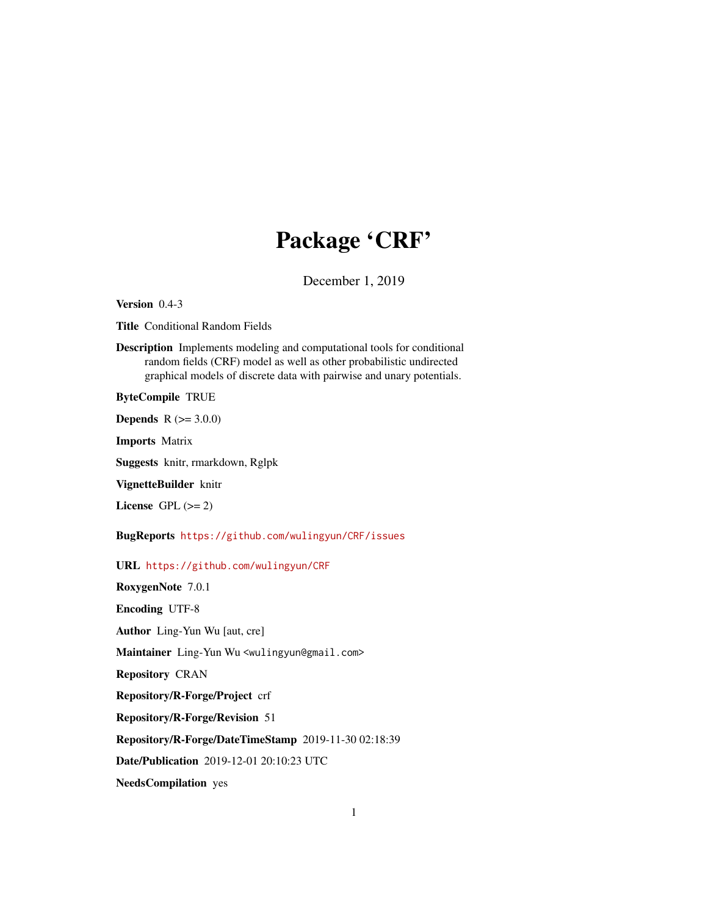# Package 'CRF'

December 1, 2019

Version 0.4-3

Title Conditional Random Fields

Description Implements modeling and computational tools for conditional random fields (CRF) model as well as other probabilistic undirected graphical models of discrete data with pairwise and unary potentials.

ByteCompile TRUE

**Depends** R  $(>= 3.0.0)$ 

Imports Matrix

Suggests knitr, rmarkdown, Rglpk

VignetteBuilder knitr

License GPL  $(>= 2)$ 

BugReports <https://github.com/wulingyun/CRF/issues>

URL <https://github.com/wulingyun/CRF>

RoxygenNote 7.0.1 Encoding UTF-8 Author Ling-Yun Wu [aut, cre] Maintainer Ling-Yun Wu <wulingyun@gmail.com> Repository CRAN Repository/R-Forge/Project crf Repository/R-Forge/Revision 51 Repository/R-Forge/DateTimeStamp 2019-11-30 02:18:39 Date/Publication 2019-12-01 20:10:23 UTC NeedsCompilation yes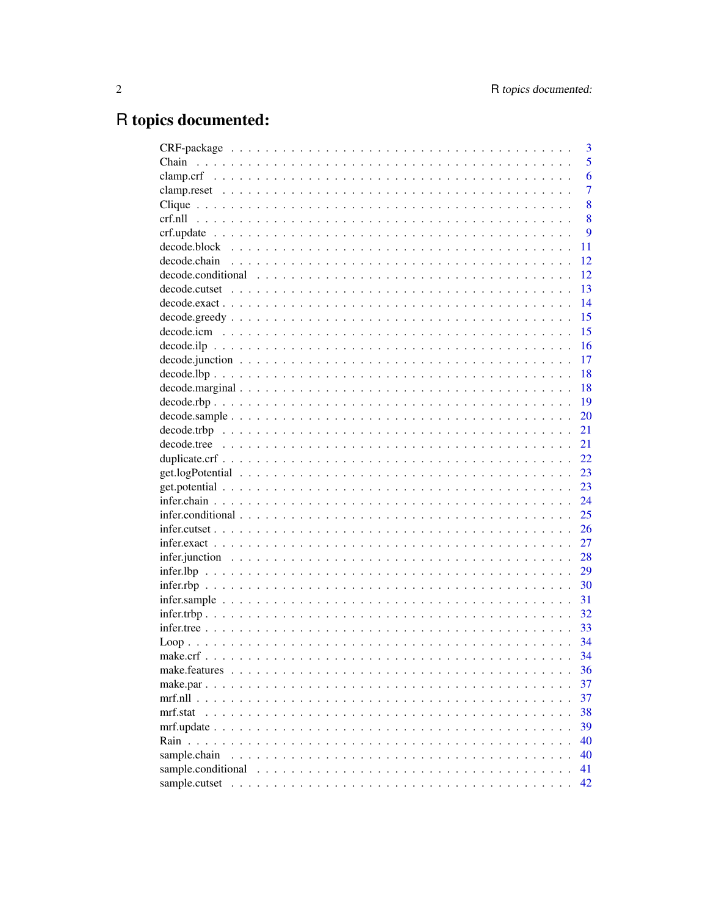# R topics documented:

|                    | 3              |
|--------------------|----------------|
|                    | 5              |
|                    | 6              |
|                    | $\overline{7}$ |
|                    | 8              |
|                    | 8              |
|                    | 9              |
|                    | 11             |
|                    | 12             |
|                    | 12             |
|                    | 13             |
|                    | 14             |
|                    | 15             |
|                    | 15             |
|                    | 16             |
|                    | 17             |
|                    | 18             |
|                    | 18             |
|                    | 19             |
|                    | 20             |
|                    | 21             |
|                    | 21             |
|                    | 22             |
|                    | 23             |
|                    | 23             |
|                    | 24             |
|                    | 25             |
|                    | 26             |
|                    | 27             |
|                    | 28             |
|                    | 29             |
|                    | 30             |
|                    | 31             |
|                    | 32             |
|                    | 33             |
|                    | 34             |
|                    | 34             |
|                    | 36             |
|                    | 37             |
|                    | 37             |
| mrf.stat           | 38             |
|                    | 39             |
| Rain               | 40             |
| sample.chain       | 40             |
| sample.conditional | 41             |
|                    | 42             |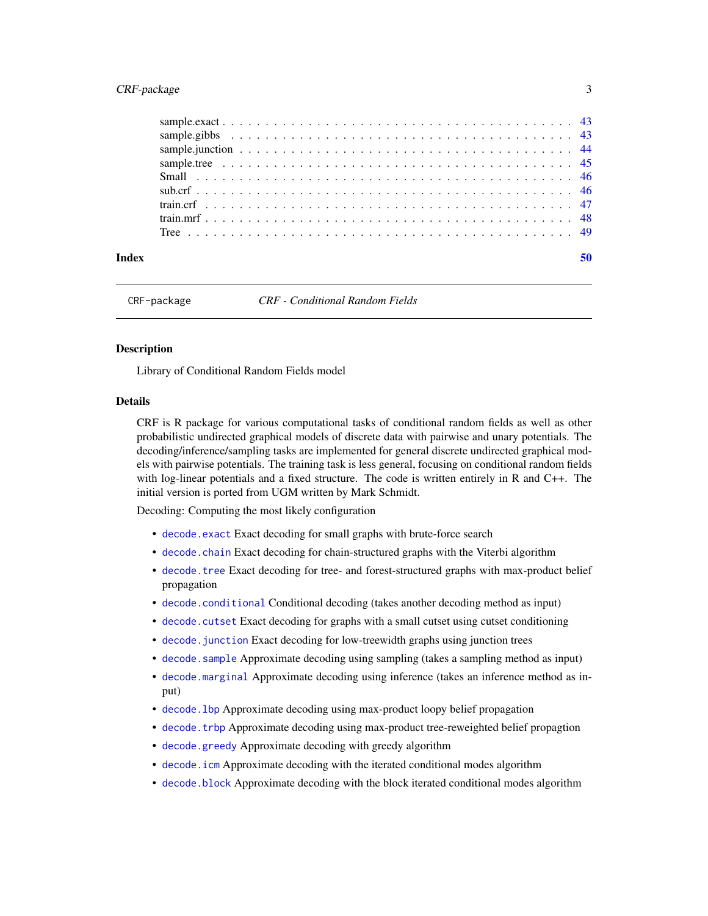### <span id="page-2-0"></span>CRF-package 3

| Index |  |
|-------|--|
|       |  |
|       |  |
|       |  |
|       |  |
|       |  |
|       |  |
|       |  |
|       |  |
|       |  |

CRF-package *CRF - Conditional Random Fields*

### Description

Library of Conditional Random Fields model

#### Details

CRF is R package for various computational tasks of conditional random fields as well as other probabilistic undirected graphical models of discrete data with pairwise and unary potentials. The decoding/inference/sampling tasks are implemented for general discrete undirected graphical models with pairwise potentials. The training task is less general, focusing on conditional random fields with log-linear potentials and a fixed structure. The code is written entirely in R and C++. The initial version is ported from UGM written by Mark Schmidt.

Decoding: Computing the most likely configuration

- [decode.exact](#page-13-1) Exact decoding for small graphs with brute-force search
- [decode.chain](#page-11-1) Exact decoding for chain-structured graphs with the Viterbi algorithm
- [decode.tree](#page-20-1) Exact decoding for tree- and forest-structured graphs with max-product belief propagation
- [decode.conditional](#page-11-2) Conditional decoding (takes another decoding method as input)
- [decode.cutset](#page-12-1) Exact decoding for graphs with a small cutset using cutset conditioning
- [decode.junction](#page-16-1) Exact decoding for low-treewidth graphs using junction trees
- [decode.sample](#page-19-1) Approximate decoding using sampling (takes a sampling method as input)
- [decode.marginal](#page-17-1) Approximate decoding using inference (takes an inference method as input)
- decode. 1bp Approximate decoding using max-product loopy belief propagation
- decode. trbp Approximate decoding using max-product tree-reweighted belief propagtion
- [decode.greedy](#page-14-1) Approximate decoding with greedy algorithm
- [decode.icm](#page-14-2) Approximate decoding with the iterated conditional modes algorithm
- [decode.block](#page-10-1) Approximate decoding with the block iterated conditional modes algorithm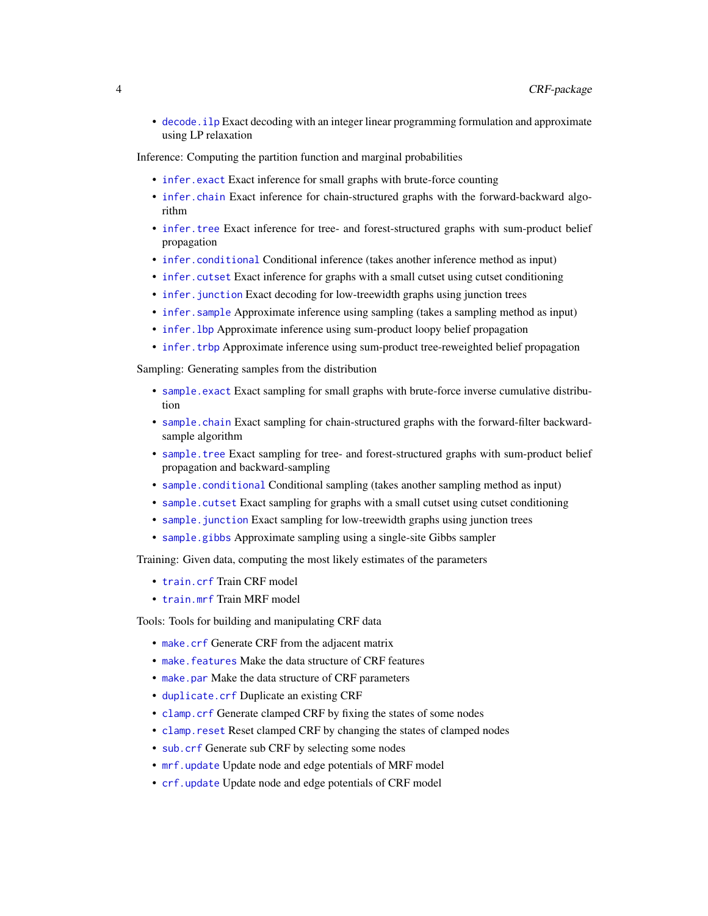<span id="page-3-0"></span>• [decode.ilp](#page-15-1) Exact decoding with an integer linear programming formulation and approximate using LP relaxation

Inference: Computing the partition function and marginal probabilities

- [infer.exact](#page-26-1) Exact inference for small graphs with brute-force counting
- [infer.chain](#page-23-1) Exact inference for chain-structured graphs with the forward-backward algorithm
- [infer.tree](#page-32-1) Exact inference for tree- and forest-structured graphs with sum-product belief propagation
- [infer.conditional](#page-24-1) Conditional inference (takes another inference method as input)
- [infer.cutset](#page-25-1) Exact inference for graphs with a small cutset using cutset conditioning
- infer. junction Exact decoding for low-treewidth graphs using junction trees
- [infer.sample](#page-30-1) Approximate inference using sampling (takes a sampling method as input)
- infer. 1bp Approximate inference using sum-product loopy belief propagation
- infer. trbp Approximate inference using sum-product tree-reweighted belief propagation

Sampling: Generating samples from the distribution

- [sample.exact](#page-42-1) Exact sampling for small graphs with brute-force inverse cumulative distribution
- [sample.chain](#page-39-1) Exact sampling for chain-structured graphs with the forward-filter backwardsample algorithm
- sample. tree Exact sampling for tree- and forest-structured graphs with sum-product belief propagation and backward-sampling
- [sample.conditional](#page-40-1) Conditional sampling (takes another sampling method as input)
- [sample.cutset](#page-41-1) Exact sampling for graphs with a small cutset using cutset conditioning
- sample. junction Exact sampling for low-treewidth graphs using junction trees
- [sample.gibbs](#page-42-2) Approximate sampling using a single-site Gibbs sampler

Training: Given data, computing the most likely estimates of the parameters

- [train.crf](#page-46-1) Train CRF model
- [train.mrf](#page-47-1) Train MRF model

Tools: Tools for building and manipulating CRF data

- [make.crf](#page-33-1) Generate CRF from the adjacent matrix
- make. features Make the data structure of CRF features
- [make.par](#page-36-1) Make the data structure of CRF parameters
- [duplicate.crf](#page-21-1) Duplicate an existing CRF
- [clamp.crf](#page-5-1) Generate clamped CRF by fixing the states of some nodes
- [clamp.reset](#page-6-1) Reset clamped CRF by changing the states of clamped nodes
- sub. crf Generate sub CRF by selecting some nodes
- [mrf.update](#page-38-1) Update node and edge potentials of MRF model
- [crf.update](#page-8-1) Update node and edge potentials of CRF model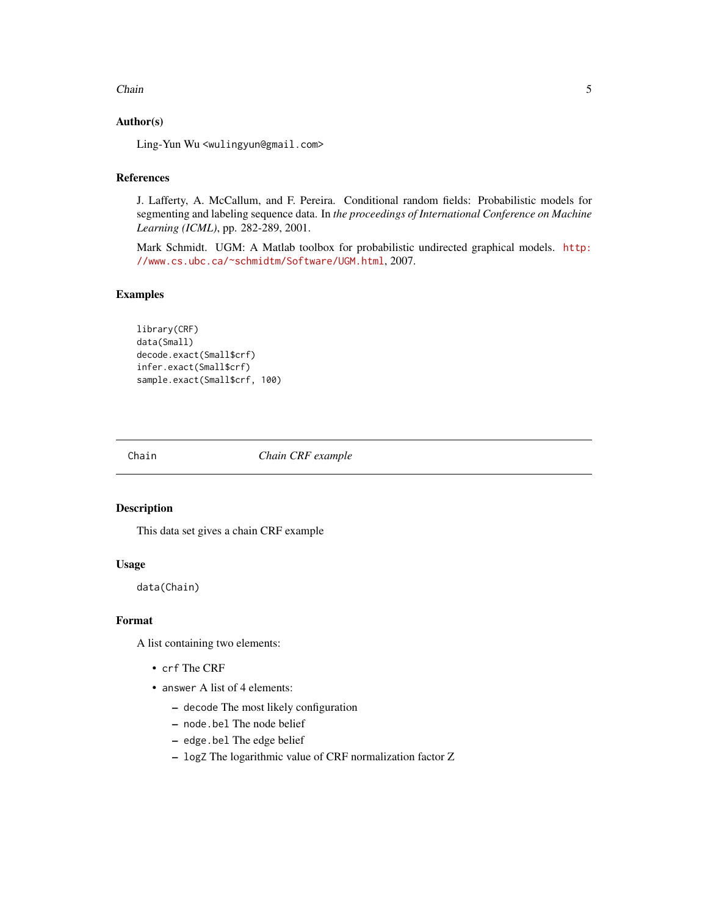#### <span id="page-4-0"></span>Chain 5

### Author(s)

Ling-Yun Wu <wulingyun@gmail.com>

### References

J. Lafferty, A. McCallum, and F. Pereira. Conditional random fields: Probabilistic models for segmenting and labeling sequence data. In *the proceedings of International Conference on Machine Learning (ICML)*, pp. 282-289, 2001.

Mark Schmidt. UGM: A Matlab toolbox for probabilistic undirected graphical models. [http:](http://www.cs.ubc.ca/~schmidtm/Software/UGM.html) [//www.cs.ubc.ca/~schmidtm/Software/UGM.html](http://www.cs.ubc.ca/~schmidtm/Software/UGM.html), 2007.

### Examples

```
library(CRF)
data(Small)
decode.exact(Small$crf)
infer.exact(Small$crf)
sample.exact(Small$crf, 100)
```
Chain *Chain CRF example*

#### Description

This data set gives a chain CRF example

#### Usage

data(Chain)

#### Format

A list containing two elements:

- crf The CRF
- answer A list of 4 elements:
	- decode The most likely configuration
	- node.bel The node belief
	- edge.bel The edge belief
	- logZ The logarithmic value of CRF normalization factor Z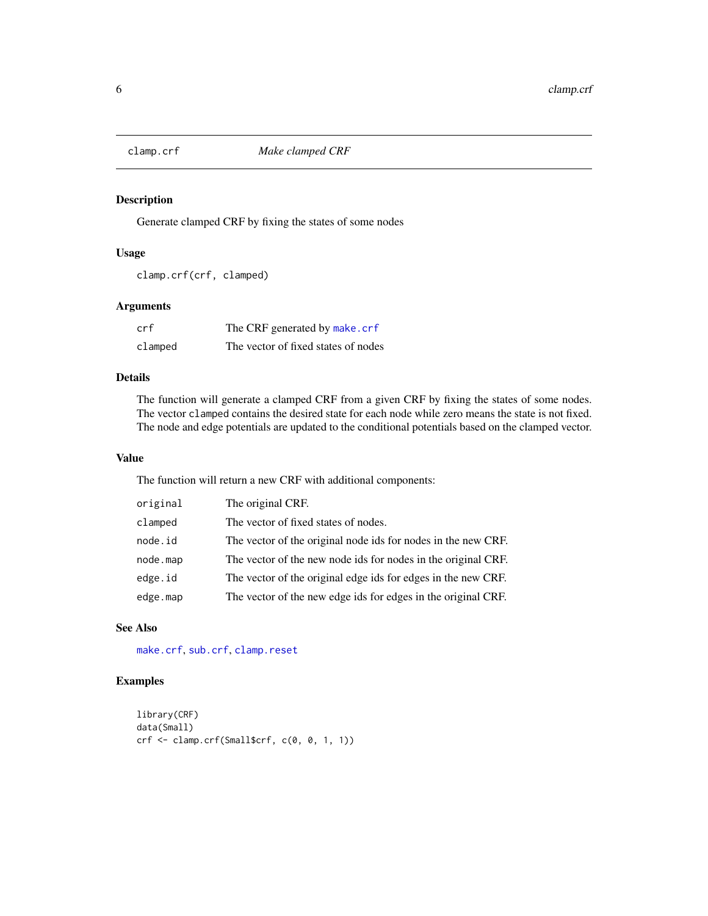<span id="page-5-1"></span><span id="page-5-0"></span>

Generate clamped CRF by fixing the states of some nodes

### Usage

```
clamp.crf(crf, clamped)
```
#### Arguments

| crf     | The CRF generated by make.crf       |
|---------|-------------------------------------|
| clamped | The vector of fixed states of nodes |

### Details

The function will generate a clamped CRF from a given CRF by fixing the states of some nodes. The vector clamped contains the desired state for each node while zero means the state is not fixed. The node and edge potentials are updated to the conditional potentials based on the clamped vector.

#### Value

The function will return a new CRF with additional components:

| original | The original CRF.                                             |
|----------|---------------------------------------------------------------|
| clamped  | The vector of fixed states of nodes.                          |
| node.id  | The vector of the original node ids for nodes in the new CRF. |
| node.map | The vector of the new node ids for nodes in the original CRF. |
| edge.id  | The vector of the original edge ids for edges in the new CRF. |
| edge.map | The vector of the new edge ids for edges in the original CRF. |

#### See Also

[make.crf](#page-33-1), [sub.crf](#page-45-1), [clamp.reset](#page-6-1)

```
library(CRF)
data(Small)
crf <- clamp.crf(Small$crf, c(0, 0, 1, 1))
```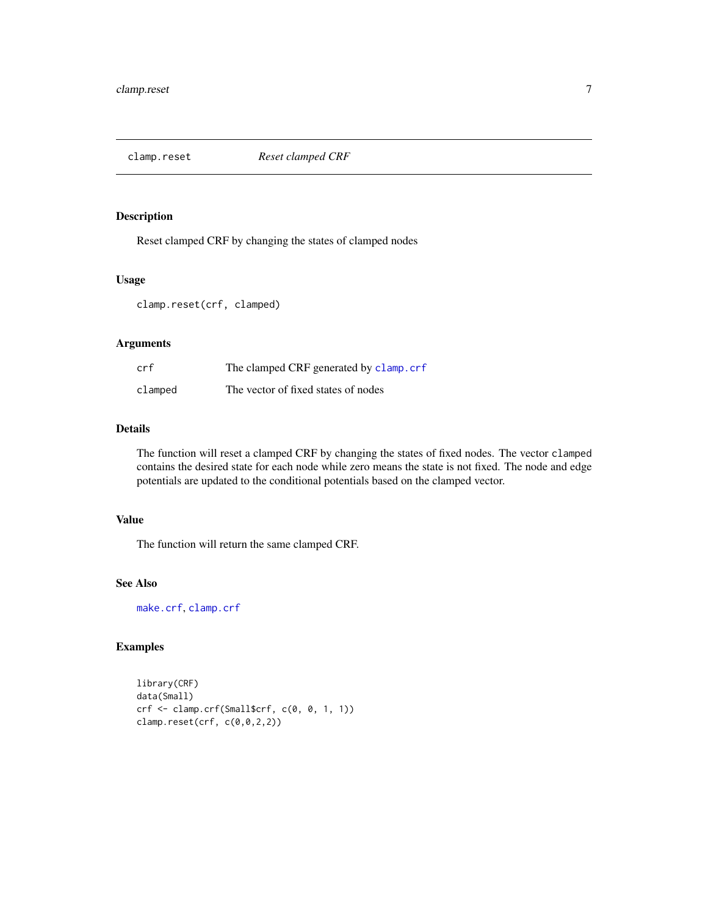<span id="page-6-1"></span><span id="page-6-0"></span>

Reset clamped CRF by changing the states of clamped nodes

#### Usage

clamp.reset(crf, clamped)

### Arguments

| crf     | The clamped CRF generated by clamp.crf |
|---------|----------------------------------------|
| clamped | The vector of fixed states of nodes    |

#### Details

The function will reset a clamped CRF by changing the states of fixed nodes. The vector clamped contains the desired state for each node while zero means the state is not fixed. The node and edge potentials are updated to the conditional potentials based on the clamped vector.

### Value

The function will return the same clamped CRF.

#### See Also

[make.crf](#page-33-1), [clamp.crf](#page-5-1)

```
library(CRF)
data(Small)
crf <- clamp.crf(Small$crf, c(0, 0, 1, 1))
clamp.reset(crf, c(0,0,2,2))
```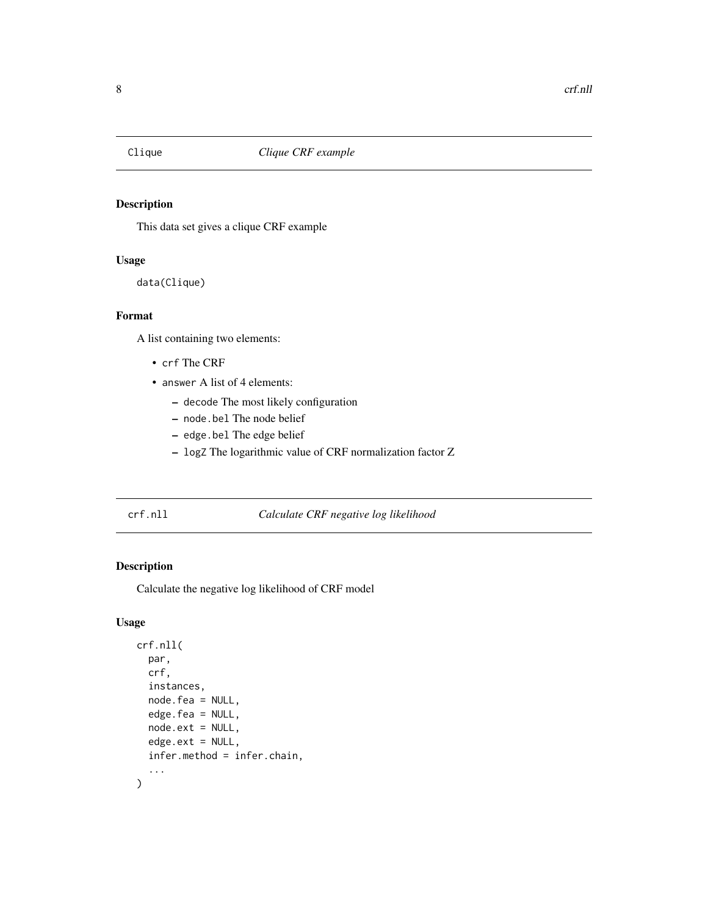<span id="page-7-0"></span>

This data set gives a clique CRF example

### Usage

data(Clique)

#### Format

A list containing two elements:

- crf The CRF
- answer A list of 4 elements:
	- decode The most likely configuration
	- node.bel The node belief
	- edge.bel The edge belief
	- logZ The logarithmic value of CRF normalization factor Z

### <span id="page-7-1"></span>crf.nll *Calculate CRF negative log likelihood*

### Description

Calculate the negative log likelihood of CRF model

#### Usage

```
crf.nll(
  par,
  crf,
  instances,
  node.fea = NULL,
  edge.fea = NULL,
  node.ext = NULL,
  edge.ext = NULL,
  infer.method = infer.chain,
  ...
\mathcal{L}
```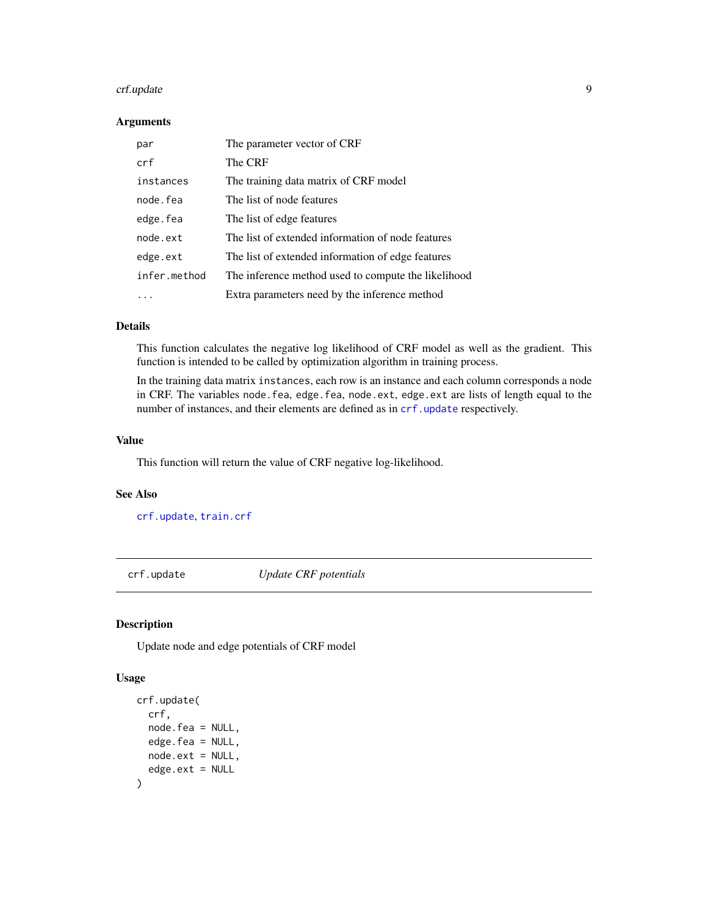#### <span id="page-8-0"></span>crf.update 99

#### Arguments

| par          | The parameter vector of CRF                         |
|--------------|-----------------------------------------------------|
| crf          | The CRF                                             |
| instances    | The training data matrix of CRF model               |
| node.fea     | The list of node features                           |
| edge.fea     | The list of edge features                           |
| node.ext     | The list of extended information of node features   |
| edge.ext     | The list of extended information of edge features   |
| infer.method | The inference method used to compute the likelihood |
|              | Extra parameters need by the inference method       |

### Details

This function calculates the negative log likelihood of CRF model as well as the gradient. This function is intended to be called by optimization algorithm in training process.

In the training data matrix instances, each row is an instance and each column corresponds a node in CRF. The variables node.fea, edge.fea, node.ext, edge.ext are lists of length equal to the number of instances, and their elements are defined as in [crf.update](#page-8-1) respectively.

#### Value

This function will return the value of CRF negative log-likelihood.

#### See Also

[crf.update](#page-8-1), [train.crf](#page-46-1)

<span id="page-8-1"></span>crf.update *Update CRF potentials*

### Description

Update node and edge potentials of CRF model

#### Usage

```
crf.update(
 crf,
 node.fea = NULL,
 edge.fea = NULL,
 node.exit = NULL,edge.txt = NULL)
```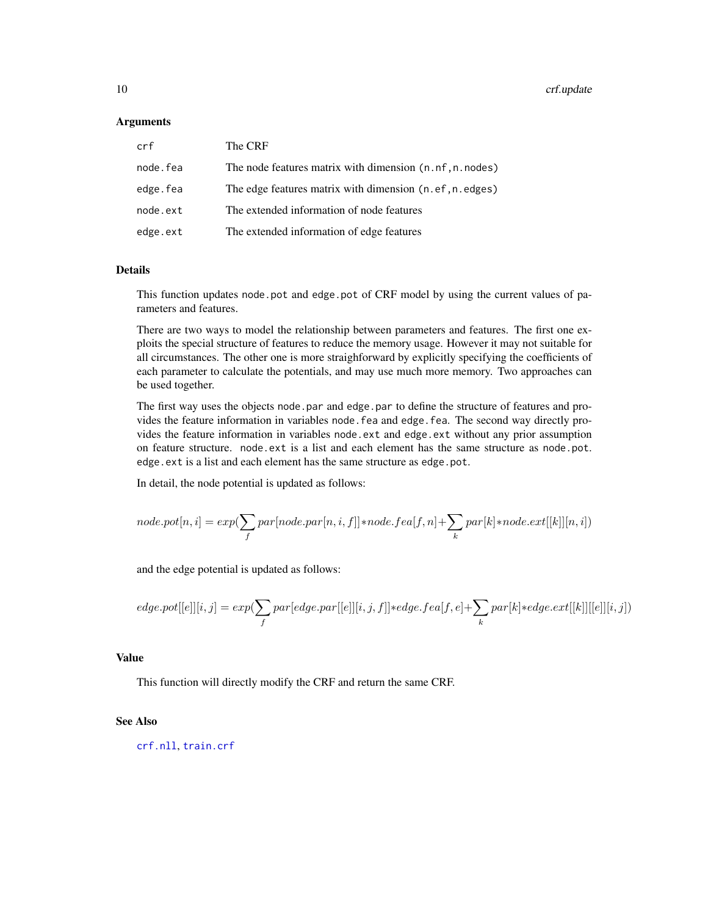#### <span id="page-9-0"></span>**Arguments**

| crf      | The CRF                                                   |
|----------|-----------------------------------------------------------|
| node.fea | The node features matrix with dimension (n. nf, n. nodes) |
| edge.fea | The edge features matrix with dimension (n.ef, n.edges)   |
| node.ext | The extended information of node features                 |
| edge.ext | The extended information of edge features                 |

### Details

This function updates node.pot and edge.pot of CRF model by using the current values of parameters and features.

There are two ways to model the relationship between parameters and features. The first one exploits the special structure of features to reduce the memory usage. However it may not suitable for all circumstances. The other one is more straighforward by explicitly specifying the coefficients of each parameter to calculate the potentials, and may use much more memory. Two approaches can be used together.

The first way uses the objects node.par and edge.par to define the structure of features and provides the feature information in variables node.fea and edge.fea. The second way directly provides the feature information in variables node.ext and edge.ext without any prior assumption on feature structure. node.ext is a list and each element has the same structure as node.pot. edge.ext is a list and each element has the same structure as edge.pot.

In detail, the node potential is updated as follows:

$$
node.pot[n,i] = exp(\sum_{f} par[node.par[n,i,f]]*node.fea[f,n] + \sum_{k} par[k]*node.ext[[k]][n,i])
$$

and the edge potential is updated as follows:

$$
edge.pdf[[e]][i,j]=exp(\sum_{f}par[edge.parent[[e]][i,j,f]]*edge.fea[f,e]+\sum_{k}par[k]*edge ext[[k]][[e]][i,j])
$$

#### Value

This function will directly modify the CRF and return the same CRF.

#### See Also

[crf.nll](#page-7-1), [train.crf](#page-46-1)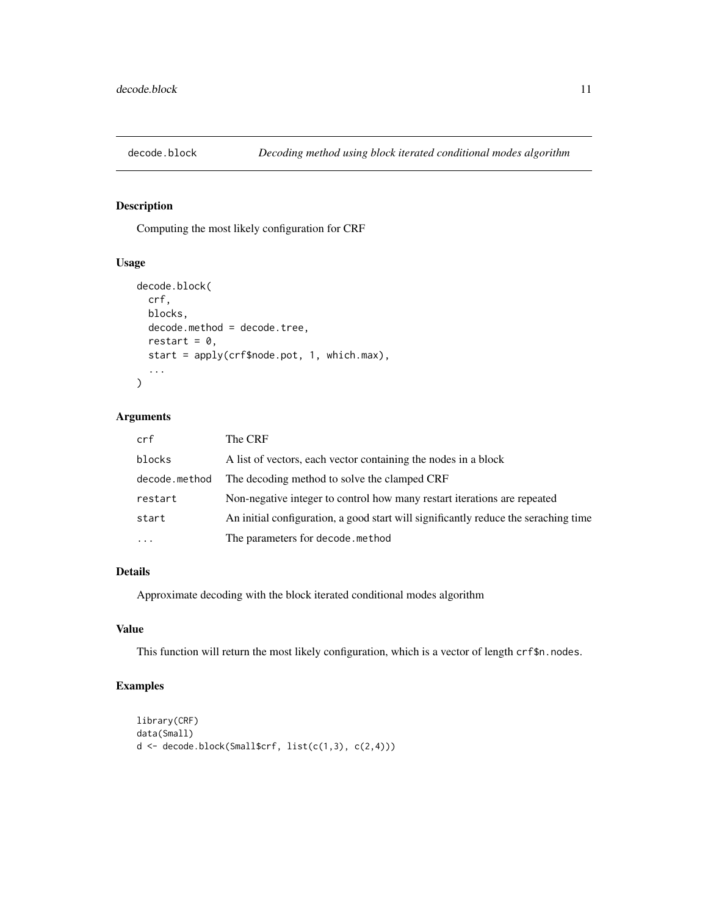<span id="page-10-1"></span><span id="page-10-0"></span>

Computing the most likely configuration for CRF

#### Usage

```
decode.block(
  crf,
 blocks,
 decode.method = decode.tree,
  restart = 0,
  start = apply(crf$node.pot, 1, which.max),
  ...
\mathcal{L}
```
### Arguments

| crf           | The CRF                                                                             |
|---------------|-------------------------------------------------------------------------------------|
| blocks        | A list of vectors, each vector containing the nodes in a block                      |
| decode.method | The decoding method to solve the clamped CRF                                        |
| restart       | Non-negative integer to control how many restart iterations are repeated            |
| start         | An initial configuration, a good start will significantly reduce the seraching time |
| $\cdots$      | The parameters for decode.method                                                    |

### Details

Approximate decoding with the block iterated conditional modes algorithm

#### Value

This function will return the most likely configuration, which is a vector of length crf\$n.nodes.

```
library(CRF)
data(Small)
d <- decode.block(Small$crf, list(c(1,3), c(2,4)))
```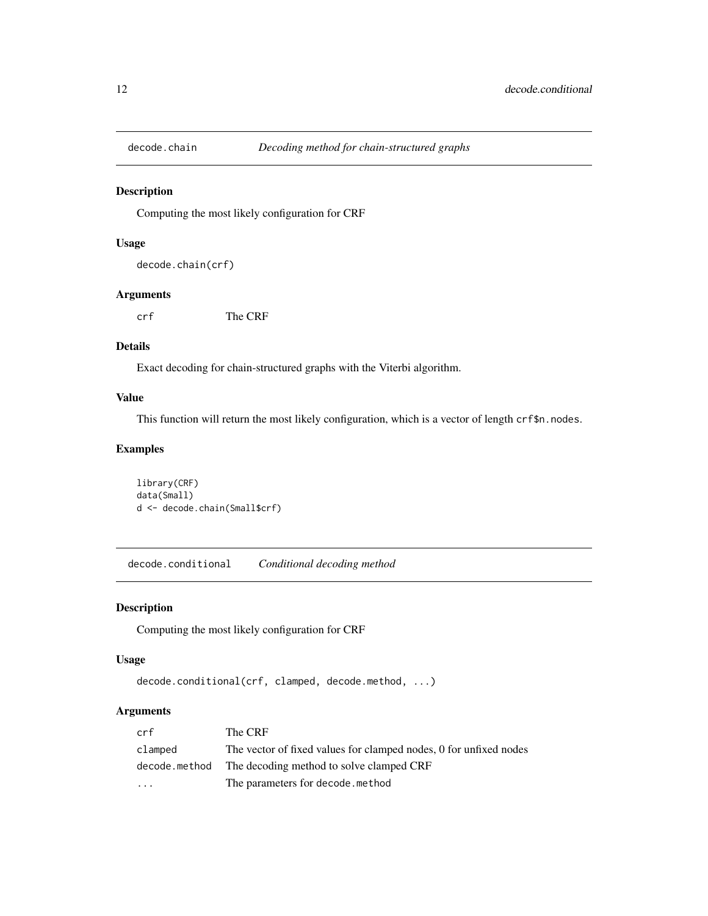<span id="page-11-1"></span><span id="page-11-0"></span>

Computing the most likely configuration for CRF

#### Usage

```
decode.chain(crf)
```
### Arguments

crf The CRF

#### Details

Exact decoding for chain-structured graphs with the Viterbi algorithm.

#### Value

This function will return the most likely configuration, which is a vector of length crf\$n.nodes.

### Examples

```
library(CRF)
data(Small)
d <- decode.chain(Small$crf)
```
<span id="page-11-2"></span>decode.conditional *Conditional decoding method*

#### Description

Computing the most likely configuration for CRF

#### Usage

```
decode.conditional(crf, clamped, decode.method, ...)
```
#### Arguments

| crf           | The CRF                                                           |
|---------------|-------------------------------------------------------------------|
| clamped       | The vector of fixed values for clamped nodes, 0 for unfixed nodes |
| decode.method | The decoding method to solve clamped CRF                          |
| $\cdot$       | The parameters for decode, method                                 |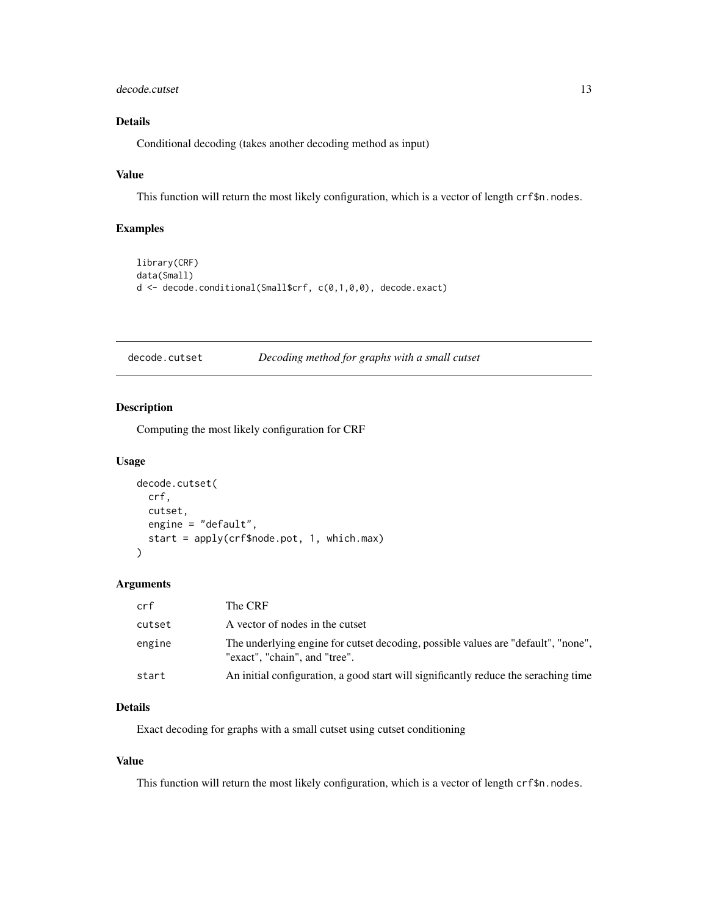#### <span id="page-12-0"></span>decode.cutset 13

### Details

Conditional decoding (takes another decoding method as input)

### Value

This function will return the most likely configuration, which is a vector of length crf\$n.nodes.

### Examples

```
library(CRF)
data(Small)
d <- decode.conditional(Small$crf, c(0,1,0,0), decode.exact)
```
<span id="page-12-1"></span>decode.cutset *Decoding method for graphs with a small cutset*

#### Description

Computing the most likely configuration for CRF

#### Usage

```
decode.cutset(
 crf,
 cutset,
  engine = "default",
  start = apply(crf$node.pot, 1, which.max)
\lambda
```
#### Arguments

| crf    | The CRF                                                                                                            |
|--------|--------------------------------------------------------------------------------------------------------------------|
| cutset | A vector of nodes in the cutset                                                                                    |
| engine | The underlying engine for cutset decoding, possible values are "default", "none",<br>"exact", "chain", and "tree". |
| start  | An initial configuration, a good start will significantly reduce the seraching time                                |

### Details

Exact decoding for graphs with a small cutset using cutset conditioning

#### Value

This function will return the most likely configuration, which is a vector of length crf\$n.nodes.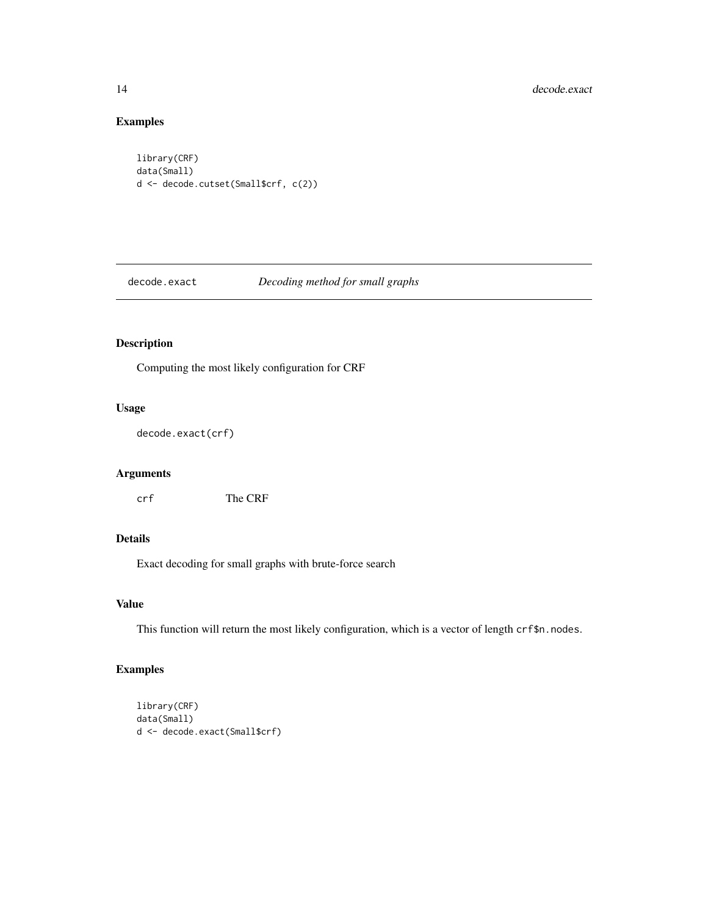### Examples

```
library(CRF)
data(Small)
d <- decode.cutset(Small$crf, c(2))
```
<span id="page-13-1"></span>decode.exact *Decoding method for small graphs*

### Description

Computing the most likely configuration for CRF

#### Usage

decode.exact(crf)

### Arguments

crf The CRF

### Details

Exact decoding for small graphs with brute-force search

### Value

This function will return the most likely configuration, which is a vector of length crf\$n.nodes.

```
library(CRF)
data(Small)
d <- decode.exact(Small$crf)
```
<span id="page-13-0"></span>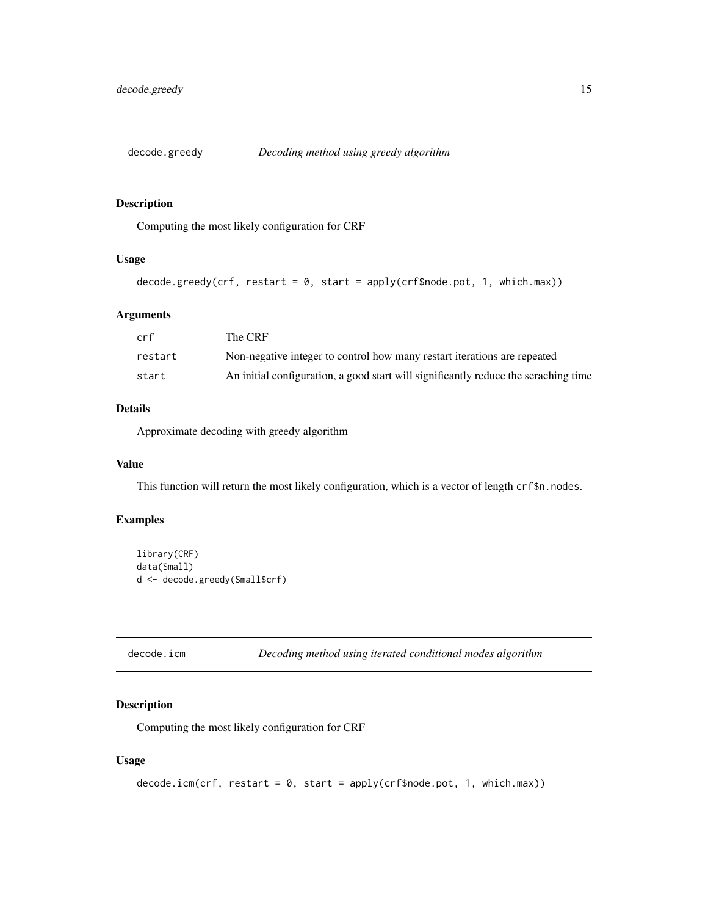<span id="page-14-1"></span><span id="page-14-0"></span>

Computing the most likely configuration for CRF

#### Usage

```
decode.greedy(crf, restart = 0, start = apply(crf$node.pot, 1, which.max))
```
### Arguments

| crf     | The CRF                                                                             |
|---------|-------------------------------------------------------------------------------------|
| restart | Non-negative integer to control how many restart iterations are repeated            |
| start   | An initial configuration, a good start will significantly reduce the seraching time |

#### Details

Approximate decoding with greedy algorithm

#### Value

This function will return the most likely configuration, which is a vector of length crf\$n.nodes.

#### Examples

```
library(CRF)
data(Small)
d <- decode.greedy(Small$crf)
```

```
decode.icm Decoding method using iterated conditional modes algorithm
```
### Description

Computing the most likely configuration for CRF

#### Usage

```
decode.in(m(crf, restart = 0, start = apply(crf, model, 1, which.max))
```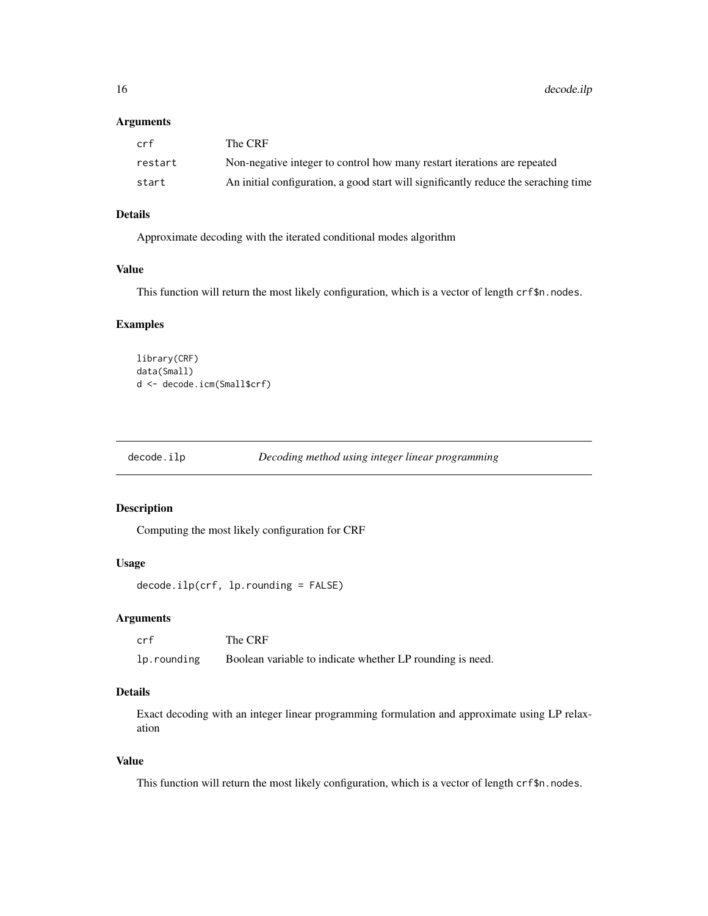<span id="page-15-0"></span>16 decode.ilp

#### Arguments

| crf     | The CRF                                                                             |
|---------|-------------------------------------------------------------------------------------|
| restart | Non-negative integer to control how many restart iterations are repeated            |
| start   | An initial configuration, a good start will significantly reduce the seraching time |

### Details

Approximate decoding with the iterated conditional modes algorithm

#### Value

This function will return the most likely configuration, which is a vector of length crf\$n.nodes.

#### Examples

```
library(CRF)
data(Small)
d <- decode.icm(Small$crf)
```
<span id="page-15-1"></span>

```
decode.ilp Decoding method using integer linear programming
```
### Description

Computing the most likely configuration for CRF

#### Usage

```
decode.ilp(crf, lp.rounding = FALSE)
```
#### Arguments

| crf         | The CRF                                                   |
|-------------|-----------------------------------------------------------|
| lp.rounding | Boolean variable to indicate whether LP rounding is need. |

### Details

Exact decoding with an integer linear programming formulation and approximate using LP relaxation

#### Value

This function will return the most likely configuration, which is a vector of length crf\$n.nodes.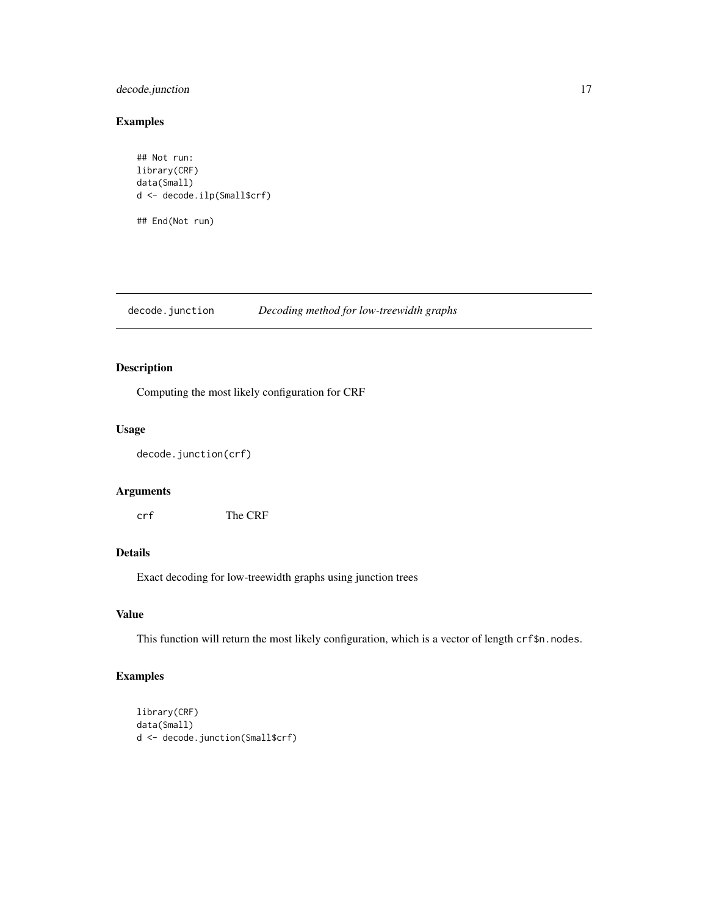### <span id="page-16-0"></span>decode.junction 17

#### Examples

```
## Not run:
library(CRF)
data(Small)
d <- decode.ilp(Small$crf)
## End(Not run)
```
<span id="page-16-1"></span>decode.junction *Decoding method for low-treewidth graphs*

### Description

Computing the most likely configuration for CRF

#### Usage

```
decode.junction(crf)
```
### Arguments

crf The CRF

#### Details

Exact decoding for low-treewidth graphs using junction trees

#### Value

This function will return the most likely configuration, which is a vector of length crf\$n.nodes.

```
library(CRF)
data(Small)
d <- decode.junction(Small$crf)
```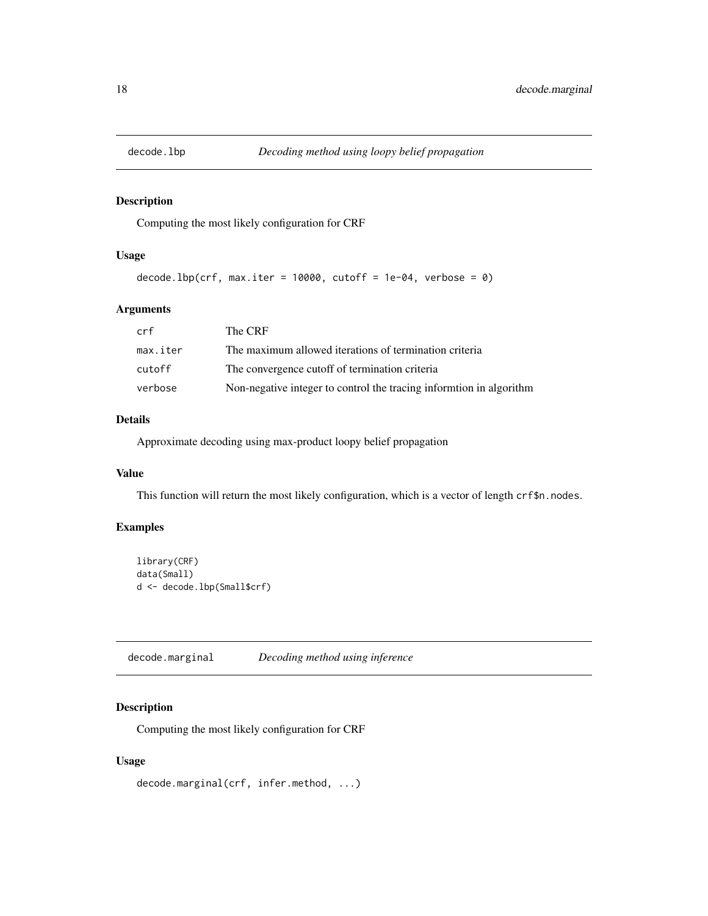<span id="page-17-2"></span><span id="page-17-0"></span>

Computing the most likely configuration for CRF

### Usage

```
decode.lbp(crf, max.iter = 10000, cutoff = 1e-04, verbose = 0)
```
### Arguments

| crf      | The CRF                                                             |
|----------|---------------------------------------------------------------------|
| max.iter | The maximum allowed iterations of termination criteria              |
| cutoff   | The convergence cutoff of termination criteria                      |
| verbose  | Non-negative integer to control the tracing informtion in algorithm |

### Details

Approximate decoding using max-product loopy belief propagation

#### Value

This function will return the most likely configuration, which is a vector of length crf\$n.nodes.

### Examples

```
library(CRF)
data(Small)
d <- decode.lbp(Small$crf)
```
<span id="page-17-1"></span>decode.marginal *Decoding method using inference*

### Description

Computing the most likely configuration for CRF

### Usage

decode.marginal(crf, infer.method, ...)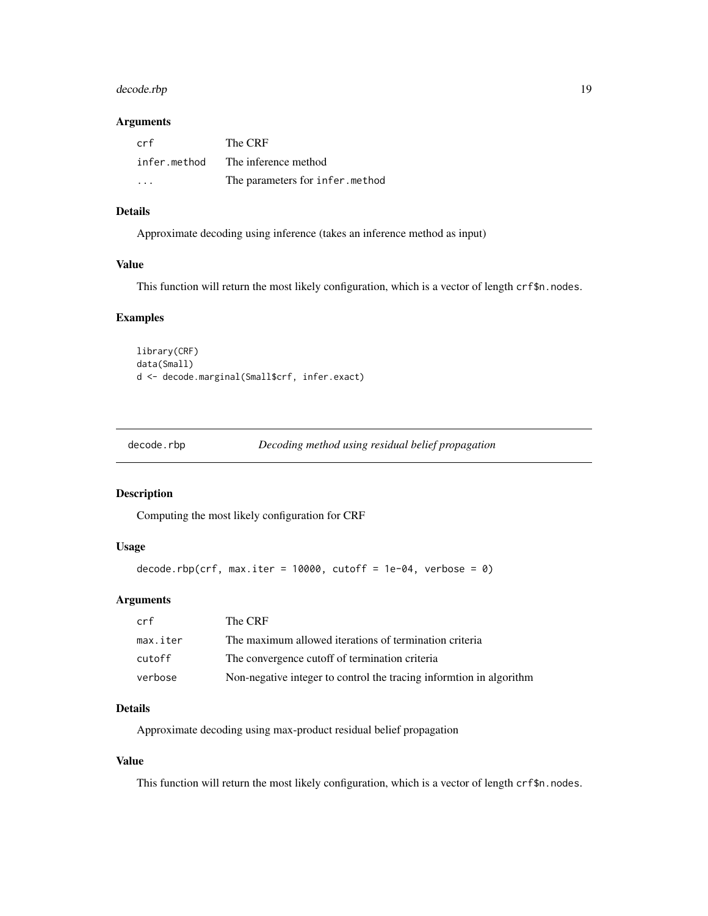### <span id="page-18-0"></span>decode.rbp 19

#### Arguments

| crf                  | The CRF                         |
|----------------------|---------------------------------|
| infer.method         | The inference method            |
| $\ddot{\phantom{0}}$ | The parameters for infer.method |

#### Details

Approximate decoding using inference (takes an inference method as input)

#### Value

This function will return the most likely configuration, which is a vector of length crf\$n.nodes.

### Examples

```
library(CRF)
data(Small)
d <- decode.marginal(Small$crf, infer.exact)
```

|  | decode.rbp | Decoding method using residual belief propagation |  |
|--|------------|---------------------------------------------------|--|
|--|------------|---------------------------------------------------|--|

### Description

Computing the most likely configuration for CRF

### Usage

```
decode.rbp(crf, max.iter = 10000, cutoff = 1e-04, verbose = 0)
```
### Arguments

| crf      | The CRF                                                             |
|----------|---------------------------------------------------------------------|
| max.iter | The maximum allowed iterations of termination criteria              |
| cutoff   | The convergence cutoff of termination criteria                      |
| verbose  | Non-negative integer to control the tracing informtion in algorithm |

### Details

Approximate decoding using max-product residual belief propagation

#### Value

This function will return the most likely configuration, which is a vector of length crf\$n.nodes.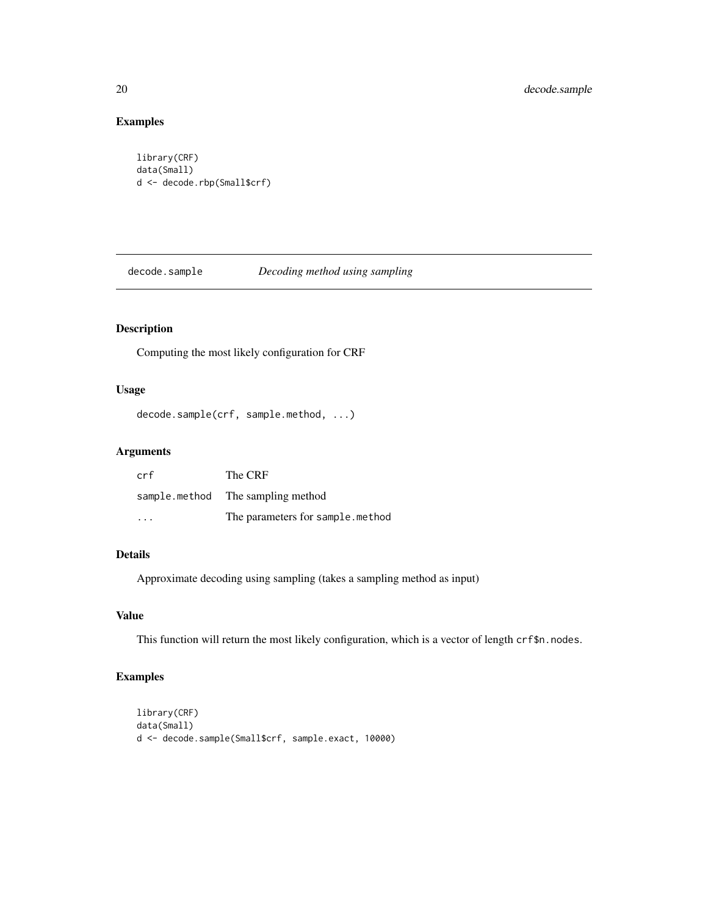### Examples

```
library(CRF)
data(Small)
d <- decode.rbp(Small$crf)
```
<span id="page-19-1"></span>decode.sample *Decoding method using sampling*

### Description

Computing the most likely configuration for CRF

#### Usage

```
decode.sample(crf, sample.method, ...)
```
### Arguments

| crf                     | The CRF                           |
|-------------------------|-----------------------------------|
|                         | sample.method The sampling method |
| $\cdot$ $\cdot$ $\cdot$ | The parameters for sample.method  |

#### Details

Approximate decoding using sampling (takes a sampling method as input)

#### Value

This function will return the most likely configuration, which is a vector of length crf\$n.nodes.

```
library(CRF)
data(Small)
d <- decode.sample(Small$crf, sample.exact, 10000)
```
<span id="page-19-0"></span>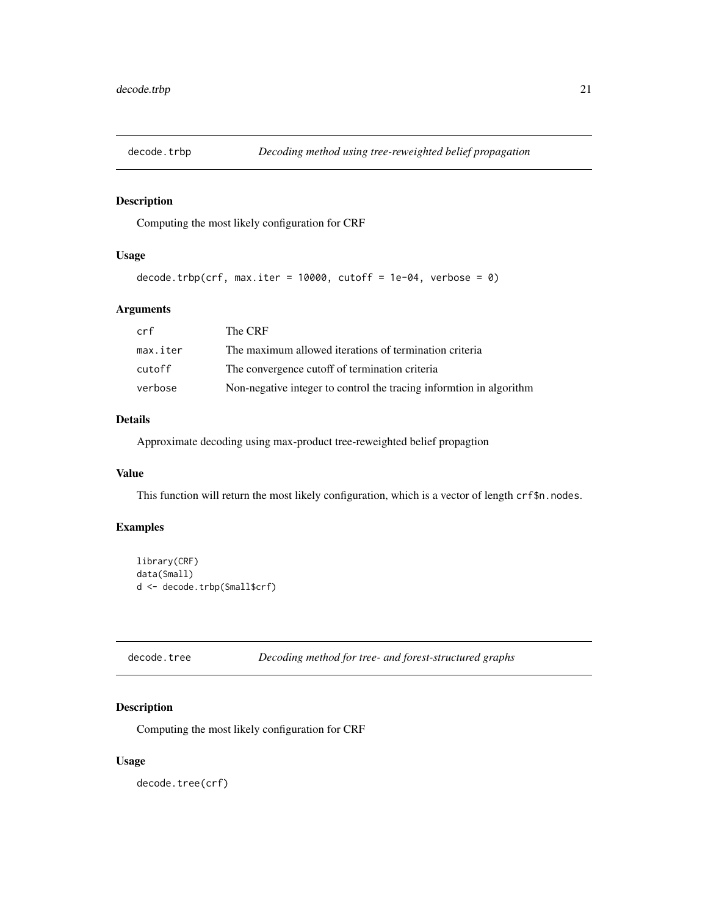<span id="page-20-2"></span><span id="page-20-0"></span>

Computing the most likely configuration for CRF

### Usage

```
decode.trbp(crf, max.iter = 10000, cutoff = 1e-04, verbose = 0)
```
### Arguments

| crf      | The CRF                                                             |
|----------|---------------------------------------------------------------------|
| max.iter | The maximum allowed iterations of termination criteria              |
| cutoff   | The convergence cutoff of termination criteria                      |
| verbose  | Non-negative integer to control the tracing informtion in algorithm |

### Details

Approximate decoding using max-product tree-reweighted belief propagtion

#### Value

This function will return the most likely configuration, which is a vector of length crf\$n.nodes.

### Examples

```
library(CRF)
data(Small)
d <- decode.trbp(Small$crf)
```
<span id="page-20-1"></span>decode.tree *Decoding method for tree- and forest-structured graphs*

### Description

Computing the most likely configuration for CRF

#### Usage

decode.tree(crf)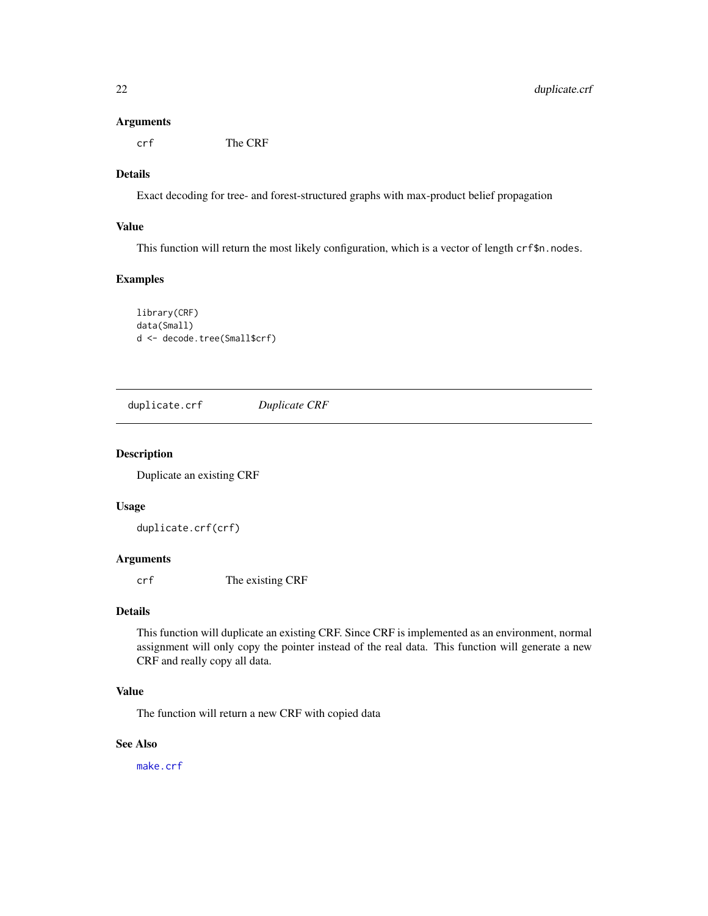#### <span id="page-21-0"></span>Arguments

crf The CRF

#### Details

Exact decoding for tree- and forest-structured graphs with max-product belief propagation

#### Value

This function will return the most likely configuration, which is a vector of length crf\$n.nodes.

### Examples

library(CRF) data(Small) d <- decode.tree(Small\$crf)

<span id="page-21-1"></span>duplicate.crf *Duplicate CRF*

#### Description

Duplicate an existing CRF

#### Usage

duplicate.crf(crf)

### Arguments

crf The existing CRF

#### Details

This function will duplicate an existing CRF. Since CRF is implemented as an environment, normal assignment will only copy the pointer instead of the real data. This function will generate a new CRF and really copy all data.

### Value

The function will return a new CRF with copied data

### See Also

[make.crf](#page-33-1)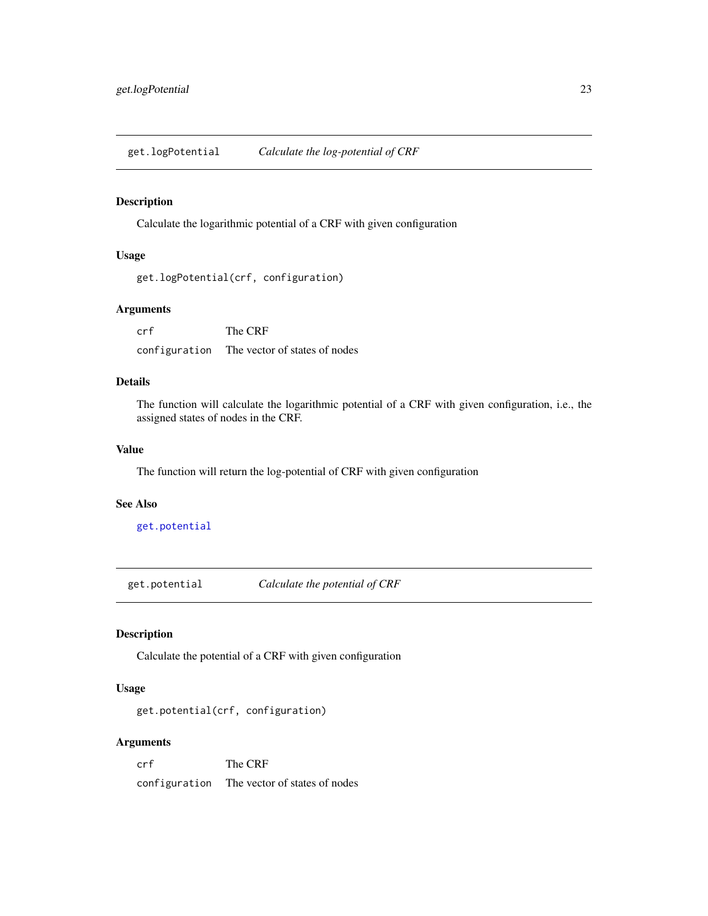<span id="page-22-2"></span><span id="page-22-0"></span>get.logPotential *Calculate the log-potential of CRF*

#### Description

Calculate the logarithmic potential of a CRF with given configuration

### Usage

```
get.logPotential(crf, configuration)
```
#### Arguments

crf The CRF configuration The vector of states of nodes

#### Details

The function will calculate the logarithmic potential of a CRF with given configuration, i.e., the assigned states of nodes in the CRF.

#### Value

The function will return the log-potential of CRF with given configuration

#### See Also

[get.potential](#page-22-1)

<span id="page-22-1"></span>get.potential *Calculate the potential of CRF*

#### Description

Calculate the potential of a CRF with given configuration

#### Usage

get.potential(crf, configuration)

#### Arguments

crf The CRF configuration The vector of states of nodes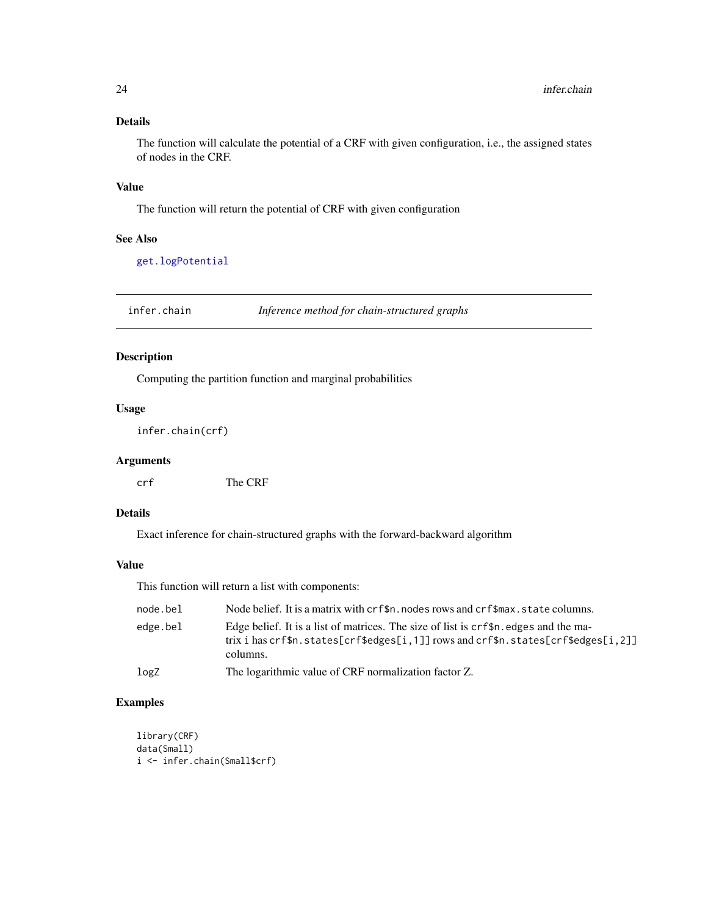### Details

The function will calculate the potential of a CRF with given configuration, i.e., the assigned states of nodes in the CRF.

#### Value

The function will return the potential of CRF with given configuration

#### See Also

[get.logPotential](#page-22-2)

<span id="page-23-1"></span>infer.chain *Inference method for chain-structured graphs*

### Description

Computing the partition function and marginal probabilities

#### Usage

infer.chain(crf)

#### Arguments

crf The CRF

#### Details

Exact inference for chain-structured graphs with the forward-backward algorithm

#### Value

This function will return a list with components:

| node.bel | Node belief. It is a matrix with crf\$n. nodes rows and crf\$max. state columns.                                                                                                                     |
|----------|------------------------------------------------------------------------------------------------------------------------------------------------------------------------------------------------------|
| edge.bel | Edge belief. It is a list of matrices. The size of list is $crf\$ n edges and the ma-<br>trix i has $crf$ \$n.states[ $crf$ \$edges[i,1]] rows and $crf$ \$n.states[ $crf$ \$edges[i,2]]<br>columns. |
| logZ     | The logarithmic value of CRF normalization factor Z.                                                                                                                                                 |

```
library(CRF)
data(Small)
i <- infer.chain(Small$crf)
```
<span id="page-23-0"></span>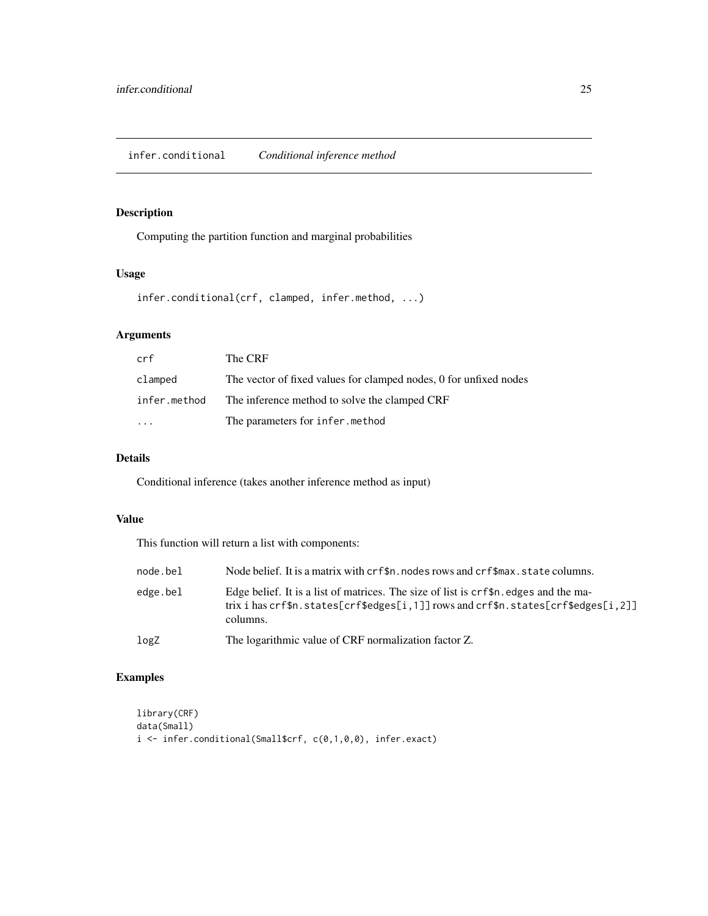<span id="page-24-1"></span><span id="page-24-0"></span>Computing the partition function and marginal probabilities

#### Usage

```
infer.conditional(crf, clamped, infer.method, ...)
```
### Arguments

| crf          | The CRF                                                           |
|--------------|-------------------------------------------------------------------|
| clamped      | The vector of fixed values for clamped nodes, 0 for unfixed nodes |
| infer.method | The inference method to solve the clamped CRF                     |
| $\ddotsc$    | The parameters for infer.method                                   |

### Details

Conditional inference (takes another inference method as input)

#### Value

This function will return a list with components:

| node.bel | Node belief. It is a matrix with crf\$n. nodes rows and crf\$max. state columns.                                                                                                      |
|----------|---------------------------------------------------------------------------------------------------------------------------------------------------------------------------------------|
| edge.bel | Edge belief. It is a list of matrices. The size of list is crf\$n. edges and the ma-<br>trix i has crf\$n.states[crf\$edges[i,1]] rows and crf\$n.states[crf\$edges[i,2]]<br>columns. |
| logZ     | The logarithmic value of CRF normalization factor Z.                                                                                                                                  |

```
library(CRF)
data(Small)
i <- infer.conditional(Small$crf, c(0,1,0,0), infer.exact)
```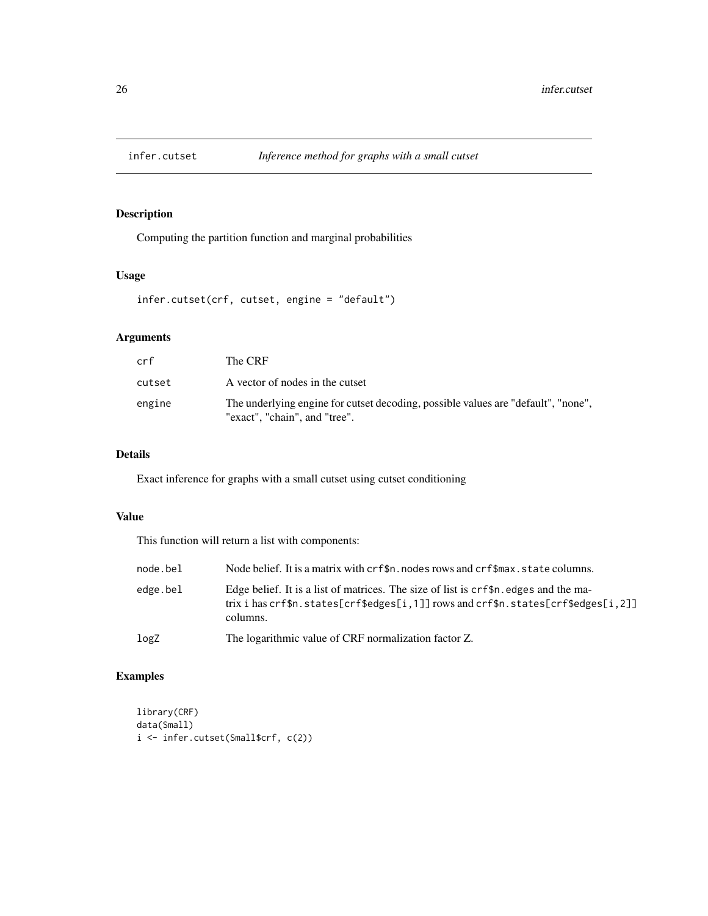<span id="page-25-1"></span><span id="page-25-0"></span>

Computing the partition function and marginal probabilities

### Usage

infer.cutset(crf, cutset, engine = "default")

### Arguments

| crf    | The CRF                                                                                                            |
|--------|--------------------------------------------------------------------------------------------------------------------|
| cutset | A vector of nodes in the cutset                                                                                    |
| engine | The underlying engine for cutset decoding, possible values are "default", "none",<br>"exact", "chain", and "tree". |

### Details

Exact inference for graphs with a small cutset using cutset conditioning

### Value

This function will return a list with components:

| node.bel | Node belief. It is a matrix with crf\$n. nodes rows and crf\$max. state columns.                                                                                                       |
|----------|----------------------------------------------------------------------------------------------------------------------------------------------------------------------------------------|
| edge.bel | Edge belief. It is a list of matrices. The size of list is $crf\$ n edges and the ma-<br>trix i has crf\$n.states[crf\$edges[i,1]] rows and crf\$n.states[crf\$edges[i,2]]<br>columns. |
| logZ     | The logarithmic value of CRF normalization factor Z.                                                                                                                                   |

```
library(CRF)
data(Small)
i <- infer.cutset(Small$crf, c(2))
```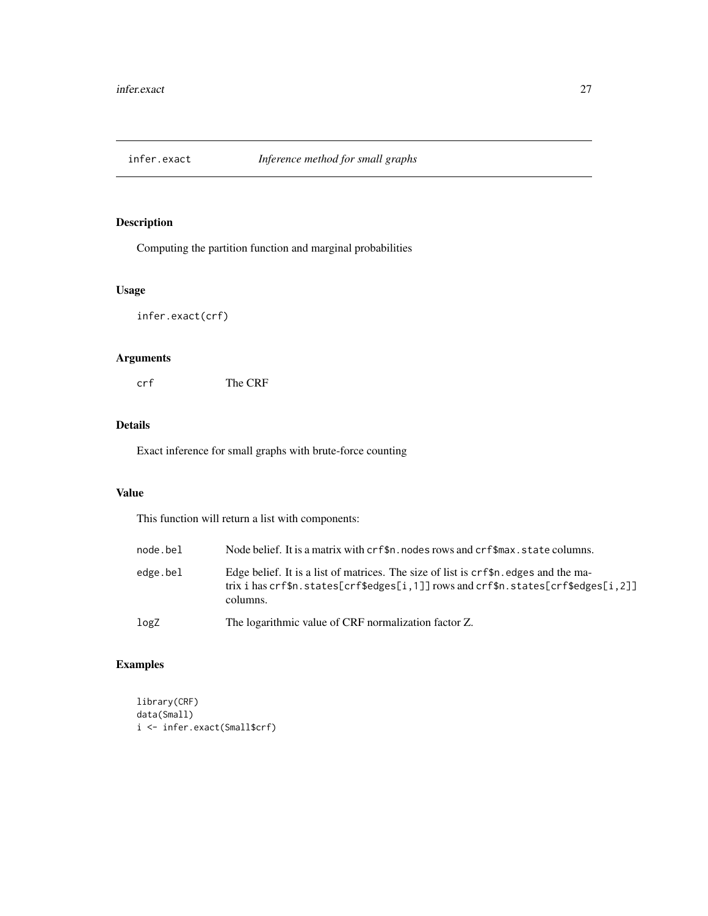<span id="page-26-1"></span><span id="page-26-0"></span>

Computing the partition function and marginal probabilities

### Usage

infer.exact(crf)

### Arguments

crf The CRF

### Details

Exact inference for small graphs with brute-force counting

### Value

This function will return a list with components:

| node.bel | Node belief. It is a matrix with crf\$n. nodes rows and crf\$max. state columns.                                                                                                         |
|----------|------------------------------------------------------------------------------------------------------------------------------------------------------------------------------------------|
| edge.bel | Edge belief. It is a list of matrices. The size of list is $crf\$ n edges and the ma-<br>trix i has $crfsn. states[crfsedges[i,1]]$ rows and $crfsn. states[crfsedges[i,2]]$<br>columns. |
| logZ     | The logarithmic value of CRF normalization factor Z.                                                                                                                                     |

```
library(CRF)
data(Small)
i <- infer.exact(Small$crf)
```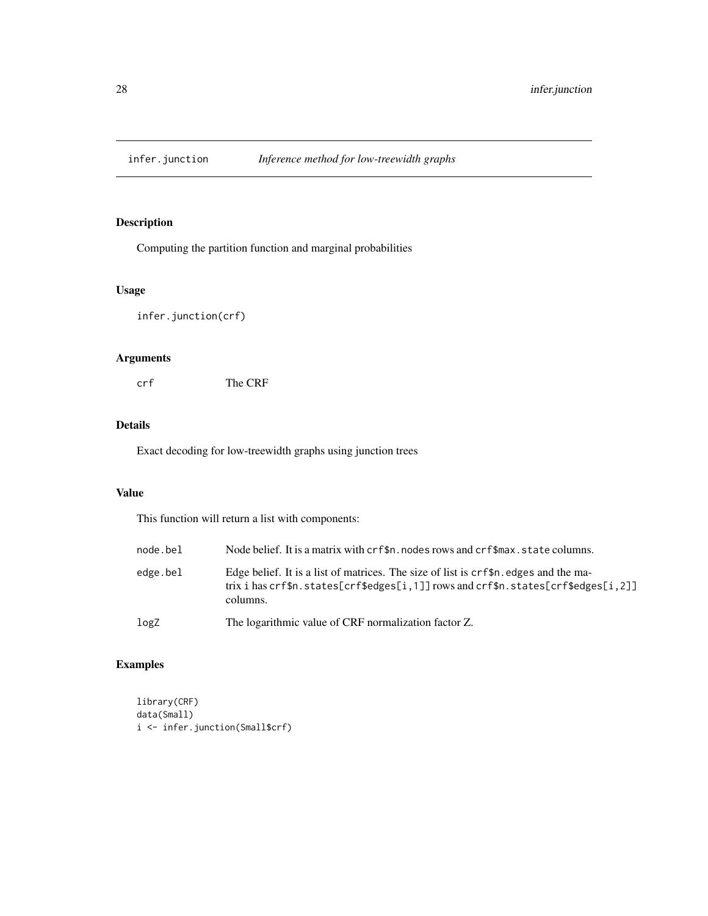<span id="page-27-1"></span><span id="page-27-0"></span>

Computing the partition function and marginal probabilities

### Usage

infer.junction(crf)

### Arguments

crf The CRF

#### Details

Exact decoding for low-treewidth graphs using junction trees

### Value

This function will return a list with components:

| node.bel | Node belief. It is a matrix with crf\$n. nodes rows and crf\$max. state columns.                                                                                                         |
|----------|------------------------------------------------------------------------------------------------------------------------------------------------------------------------------------------|
| edge.bel | Edge belief. It is a list of matrices. The size of list is $crf\$ n edges and the ma-<br>trix i has $crfsn. states[crfsedges[i,1]]$ rows and $crfsn. states[crfsedges[i,2]]$<br>columns. |
| logZ     | The logarithmic value of CRF normalization factor Z.                                                                                                                                     |

```
library(CRF)
data(Small)
i <- infer.junction(Small$crf)
```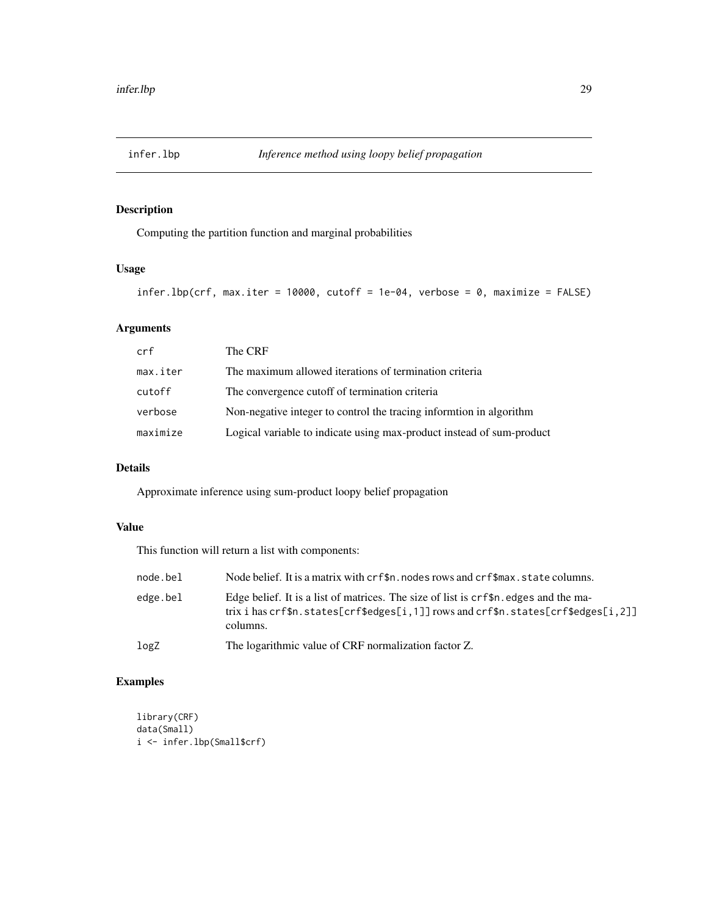<span id="page-28-1"></span><span id="page-28-0"></span>

Computing the partition function and marginal probabilities

### Usage

```
inferlbp(crf, max.iter = 10000, cutoff = 1e-04, verbose = 0, maximize = FALSE)
```
### Arguments

| crf      | The CRF                                                               |
|----------|-----------------------------------------------------------------------|
| max.iter | The maximum allowed iterations of termination criteria                |
| cutoff   | The convergence cutoff of termination criteria                        |
| verbose  | Non-negative integer to control the tracing informtion in algorithm   |
| maximize | Logical variable to indicate using max-product instead of sum-product |

#### Details

Approximate inference using sum-product loopy belief propagation

#### Value

This function will return a list with components:

| node.bel | Node belief. It is a matrix with crf\$n. nodes rows and crf\$max. state columns.                                                                                                       |
|----------|----------------------------------------------------------------------------------------------------------------------------------------------------------------------------------------|
| edge.bel | Edge belief. It is a list of matrices. The size of list is $crf\$ n edges and the ma-<br>trix i has crf\$n.states[crf\$edges[i,1]] rows and crf\$n.states[crf\$edges[i,2]]<br>columns. |
| logZ     | The logarithmic value of CRF normalization factor Z.                                                                                                                                   |

```
library(CRF)
data(Small)
i <- infer.lbp(Small$crf)
```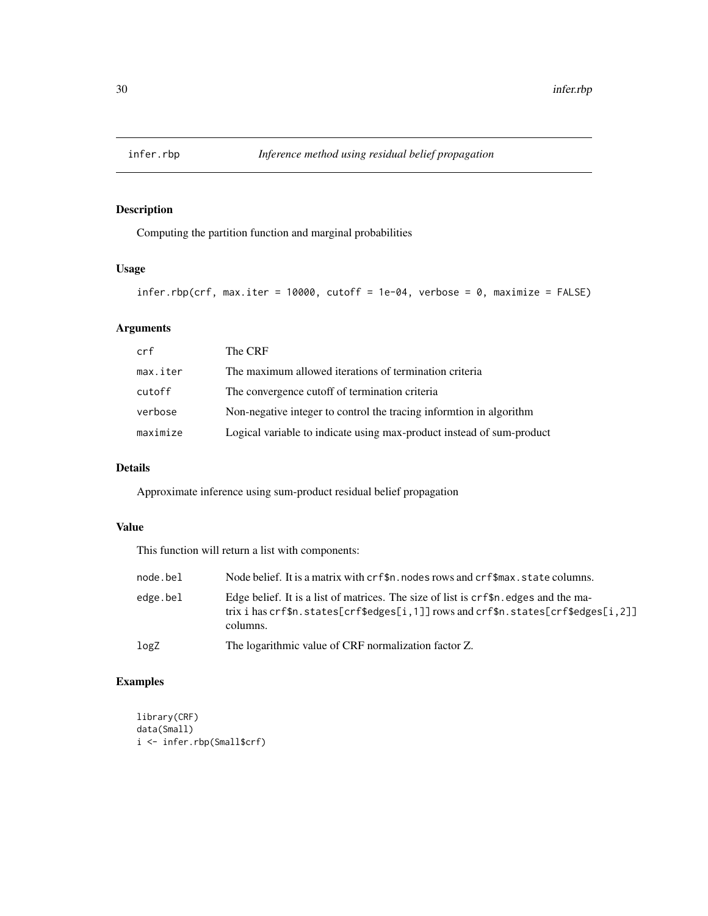<span id="page-29-0"></span>

Computing the partition function and marginal probabilities

### Usage

```
infer.rbp(crf, max.iter = 10000, cutoff = 1e-04, verbose = 0, maximize = FALSE)
```
### Arguments

| crf      | The CRF                                                               |
|----------|-----------------------------------------------------------------------|
| max.iter | The maximum allowed iterations of termination criteria                |
| cutoff   | The convergence cutoff of termination criteria                        |
| verbose  | Non-negative integer to control the tracing informtion in algorithm   |
| maximize | Logical variable to indicate using max-product instead of sum-product |

#### Details

Approximate inference using sum-product residual belief propagation

#### Value

This function will return a list with components:

| node.bel | Node belief. It is a matrix with crf\$n. nodes rows and crf\$max. state columns.                                                                                                       |
|----------|----------------------------------------------------------------------------------------------------------------------------------------------------------------------------------------|
| edge.bel | Edge belief. It is a list of matrices. The size of list is $crf\$ n edges and the ma-<br>trix i has crf\$n.states[crf\$edges[i,1]] rows and crf\$n.states[crf\$edges[i,2]]<br>columns. |
| logZ     | The logarithmic value of CRF normalization factor Z.                                                                                                                                   |

```
library(CRF)
data(Small)
i <- infer.rbp(Small$crf)
```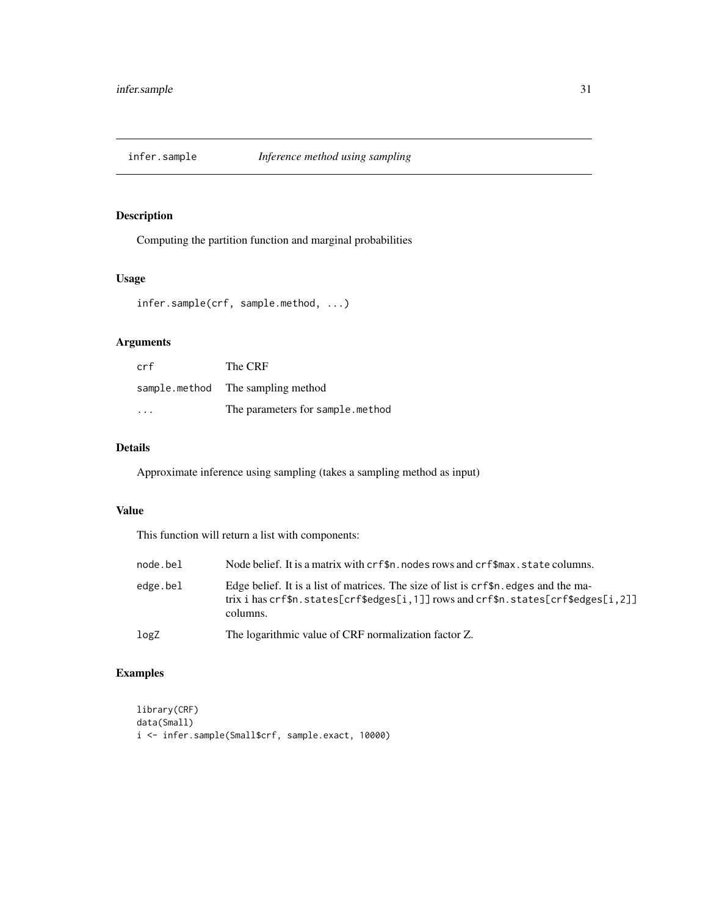<span id="page-30-1"></span><span id="page-30-0"></span>

Computing the partition function and marginal probabilities

### Usage

infer.sample(crf, sample.method, ...)

### Arguments

| crf | The CRF                           |
|-----|-----------------------------------|
|     | sample.method The sampling method |
| .   | The parameters for sample.method  |

### Details

Approximate inference using sampling (takes a sampling method as input)

#### Value

This function will return a list with components:

| node.bel | Node belief. It is a matrix with crf\$n, nodes rows and crf\$max, state columns.                                                                                                       |
|----------|----------------------------------------------------------------------------------------------------------------------------------------------------------------------------------------|
| edge.bel | Edge belief. It is a list of matrices. The size of list is $crf\$ n edges and the ma-<br>trix i has crf\$n.states[crf\$edges[i,1]] rows and crf\$n.states[crf\$edges[i,2]]<br>columns. |
| logZ     | The logarithmic value of CRF normalization factor Z.                                                                                                                                   |

### Examples

library(CRF) data(Small) i <- infer.sample(Small\$crf, sample.exact, 10000)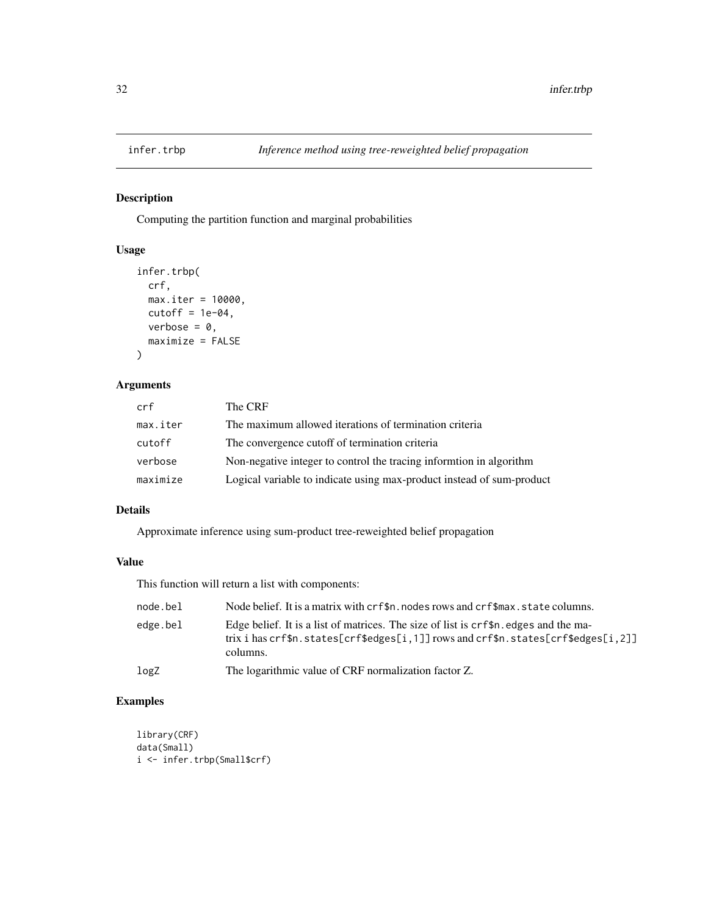<span id="page-31-1"></span><span id="page-31-0"></span>

Computing the partition function and marginal probabilities

### Usage

```
infer.trbp(
 crf,
 max.iter = 10000,
 cutoff = 1e-04,verbose = 0,
 maximize = FALSE
)
```
### Arguments

| crf      | The CRF                                                               |
|----------|-----------------------------------------------------------------------|
| max.iter | The maximum allowed iterations of termination criteria                |
| cutoff   | The convergence cutoff of termination criteria                        |
| verbose  | Non-negative integer to control the tracing informtion in algorithm   |
| maximize | Logical variable to indicate using max-product instead of sum-product |

### Details

Approximate inference using sum-product tree-reweighted belief propagation

#### Value

This function will return a list with components:

| node.bel | Node belief. It is a matrix with crf\$n. nodes rows and crf\$max. state columns.                                                                                                                    |
|----------|-----------------------------------------------------------------------------------------------------------------------------------------------------------------------------------------------------|
| edge.bel | Edge belief. It is a list of matrices. The size of list is crf\$n. edges and the ma-<br>trix i has $crf$ \$n.states[ $crf$ \$edges[i,1]] rows and $crf$ \$n.states[ $crf$ \$edges[i,2]]<br>columns. |
| logZ     | The logarithmic value of CRF normalization factor Z.                                                                                                                                                |

```
library(CRF)
data(Small)
i <- infer.trbp(Small$crf)
```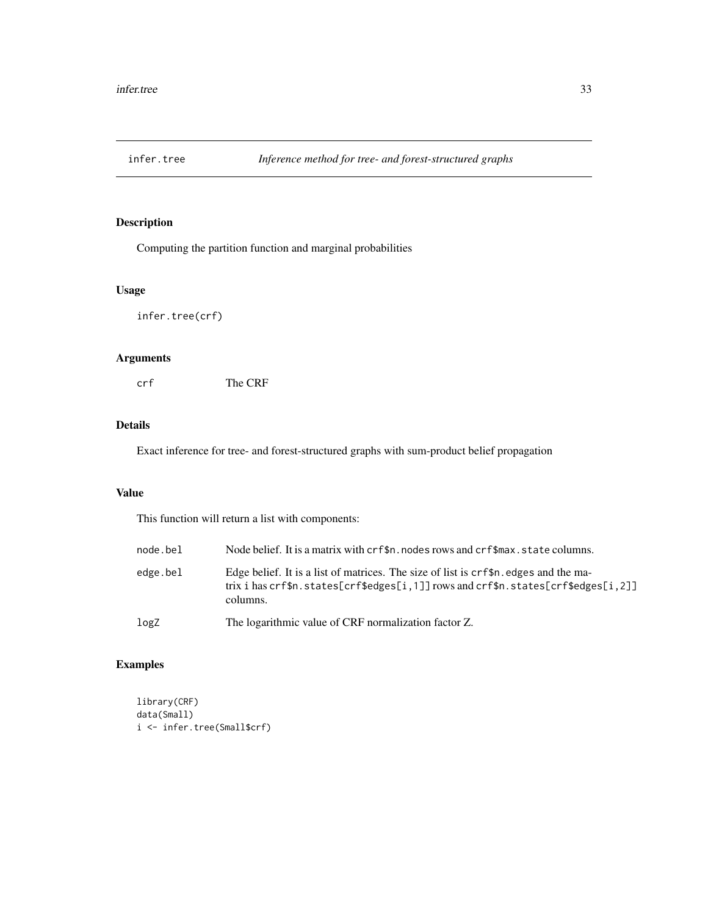<span id="page-32-1"></span><span id="page-32-0"></span>

Computing the partition function and marginal probabilities

### Usage

infer.tree(crf)

### Arguments

crf The CRF

#### Details

Exact inference for tree- and forest-structured graphs with sum-product belief propagation

### Value

This function will return a list with components:

| node.bel | Node belief. It is a matrix with crf\$n. nodes rows and crf\$max. state columns.                                                                                                       |
|----------|----------------------------------------------------------------------------------------------------------------------------------------------------------------------------------------|
| edge.bel | Edge belief. It is a list of matrices. The size of list is $crf\$ n edges and the ma-<br>trix i has crf\$n.states[crf\$edges[i,1]] rows and crf\$n.states[crf\$edges[i,2]]<br>columns. |
| logZ     | The logarithmic value of CRF normalization factor Z.                                                                                                                                   |

```
library(CRF)
data(Small)
i <- infer.tree(Small$crf)
```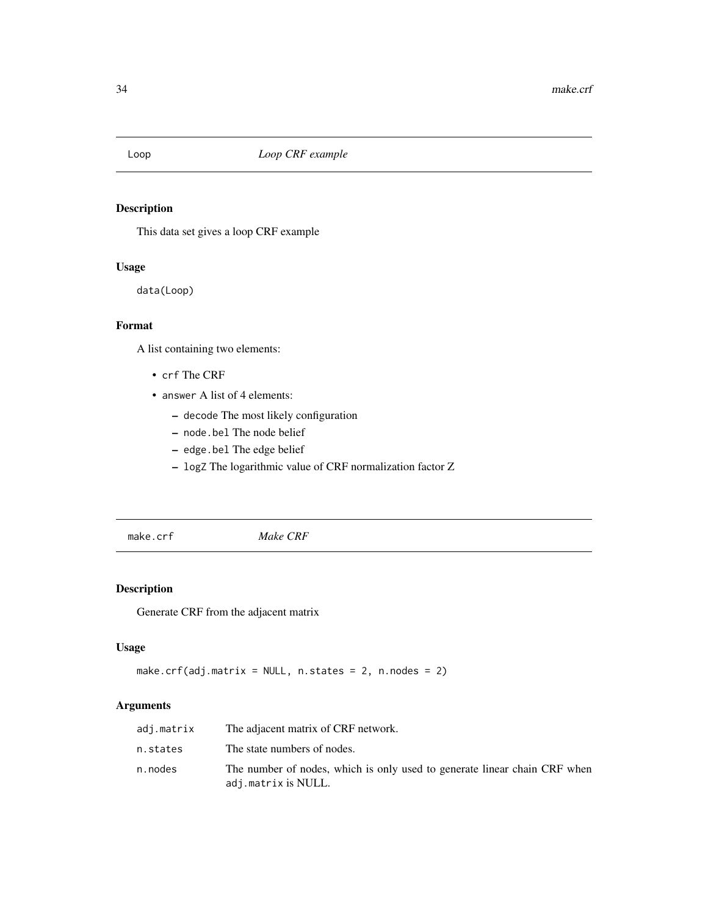<span id="page-33-0"></span>

This data set gives a loop CRF example

### Usage

data(Loop)

### Format

A list containing two elements:

- crf The CRF
- answer A list of 4 elements:
	- decode The most likely configuration
	- node.bel The node belief
	- edge.bel The edge belief
	- logZ The logarithmic value of CRF normalization factor Z

<span id="page-33-1"></span>make.crf *Make CRF*

### Description

Generate CRF from the adjacent matrix

#### Usage

```
make.crf(adj.matrix = NULL, n.states = 2, n.nodes = 2)
```
### Arguments

| adj.matrix | The adjacent matrix of CRF network.                                                              |
|------------|--------------------------------------------------------------------------------------------------|
| n.states   | The state numbers of nodes.                                                                      |
| n.nodes    | The number of nodes, which is only used to generate linear chain CRF when<br>adj.matrix is NULL. |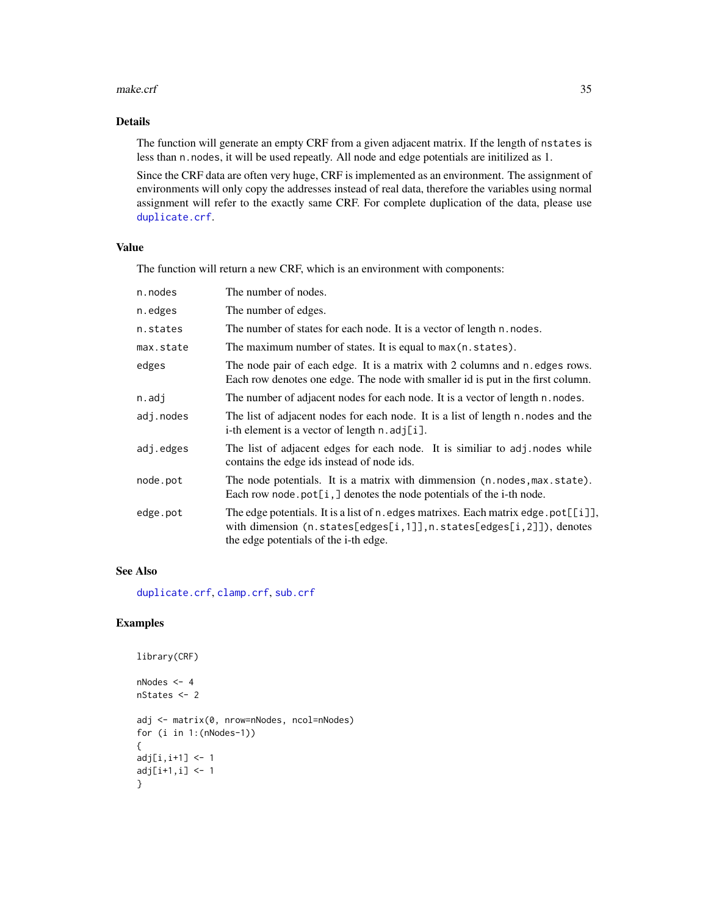#### <span id="page-34-0"></span>make.crf 35

### Details

The function will generate an empty CRF from a given adjacent matrix. If the length of nstates is less than n.nodes, it will be used repeatly. All node and edge potentials are initilized as 1.

Since the CRF data are often very huge, CRF is implemented as an environment. The assignment of environments will only copy the addresses instead of real data, therefore the variables using normal assignment will refer to the exactly same CRF. For complete duplication of the data, please use [duplicate.crf](#page-21-1).

### Value

The function will return a new CRF, which is an environment with components:

| The number of nodes.                                                                                                                                                                                            |
|-----------------------------------------------------------------------------------------------------------------------------------------------------------------------------------------------------------------|
| The number of edges.                                                                                                                                                                                            |
| The number of states for each node. It is a vector of length n. nodes.                                                                                                                                          |
| The maximum number of states. It is equal to max(n.states).                                                                                                                                                     |
| The node pair of each edge. It is a matrix with 2 columns and n. edges rows.<br>Each row denotes one edge. The node with smaller id is put in the first column.                                                 |
| The number of adjacent nodes for each node. It is a vector of length n. nodes.                                                                                                                                  |
| The list of adjacent nodes for each node. It is a list of length n. nodes and the<br>i-th element is a vector of length $n$ . adj[i].                                                                           |
| The list of adjacent edges for each node. It is similiar to adj. nodes while<br>contains the edge ids instead of node ids.                                                                                      |
| The node potentials. It is a matrix with dimmension (n.nodes, max.state).<br>Each row node pot[ $i$ , ] denotes the node potentials of the i-th node.                                                           |
| The edge potentials. It is a list of n. edges matrixes. Each matrix edge. $pot[[i]]$ ,<br>with dimension (n.states[edges[i,1]], n.states[edges[i,2]]), denotes<br>the edge potentials of the <i>i</i> -th edge. |
|                                                                                                                                                                                                                 |

### See Also

[duplicate.crf](#page-21-1), [clamp.crf](#page-5-1), [sub.crf](#page-45-1)

```
library(CRF)
nNodes <- 4
nStates <- 2
adj <- matrix(0, nrow=nNodes, ncol=nNodes)
for (i in 1:(nNodes-1))
{
adj[i, i+1] <- 1
adj[i+1, i] < -1}
```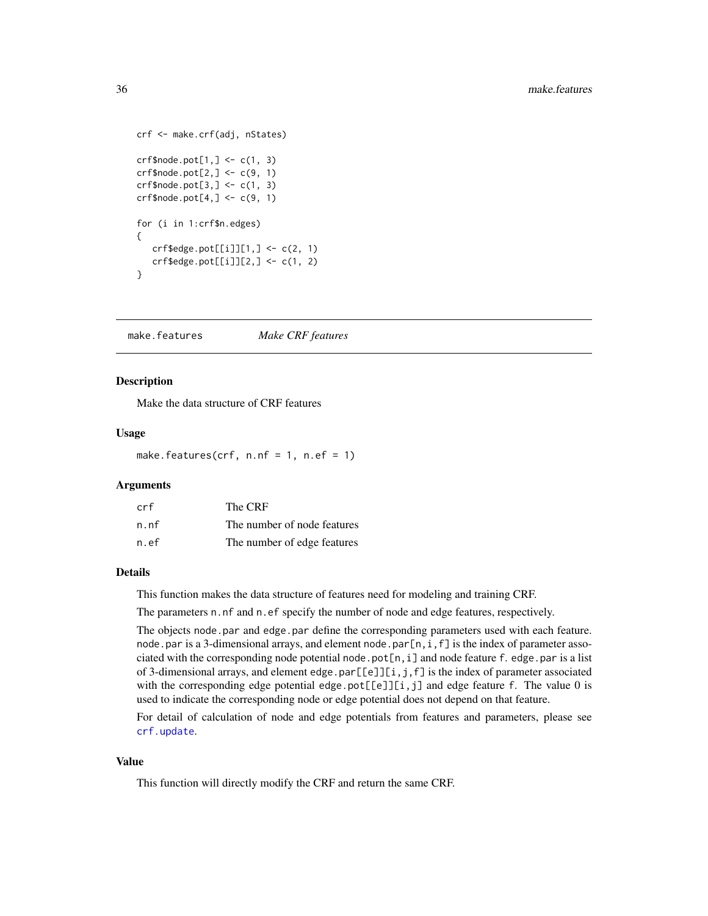```
crf <- make.crf(adj, nStates)
crf\node.pot[1, ] \leftarrow c(1, 3)crf$node.pot[2, ] < -c(9, 1)crf$node.pot[3,] <- c(1, 3)
crf$node.pot[4,] <-c(9, 1)for (i in 1:crf$n.edges)
{
  crf$edge.pot[[i]][1,] <- c(2, 1)crf$edge.pot[[i]][2,] < -c(1, 2)}
```
<span id="page-35-1"></span>make.features *Make CRF features*

#### Description

Make the data structure of CRF features

#### Usage

make.features( $crf$ , n.nf = 1, n.ef = 1)

#### Arguments

| crf  | The CRF                     |
|------|-----------------------------|
| n.nf | The number of node features |
| n.ef | The number of edge features |

#### Details

This function makes the data structure of features need for modeling and training CRF.

The parameters n.nf and n.ef specify the number of node and edge features, respectively.

The objects node.par and edge.par define the corresponding parameters used with each feature. node.par is a 3-dimensional arrays, and element node.par $[n,i,f]$  is the index of parameter associated with the corresponding node potential node.pot $[n,i]$  and node feature f. edge.par is a list of 3-dimensional arrays, and element edge.par $[[e]][i,j,f]$  is the index of parameter associated with the corresponding edge potential edge.pot $[E]$ [i,j] and edge feature f. The value 0 is used to indicate the corresponding node or edge potential does not depend on that feature.

For detail of calculation of node and edge potentials from features and parameters, please see [crf.update](#page-8-1).

#### Value

This function will directly modify the CRF and return the same CRF.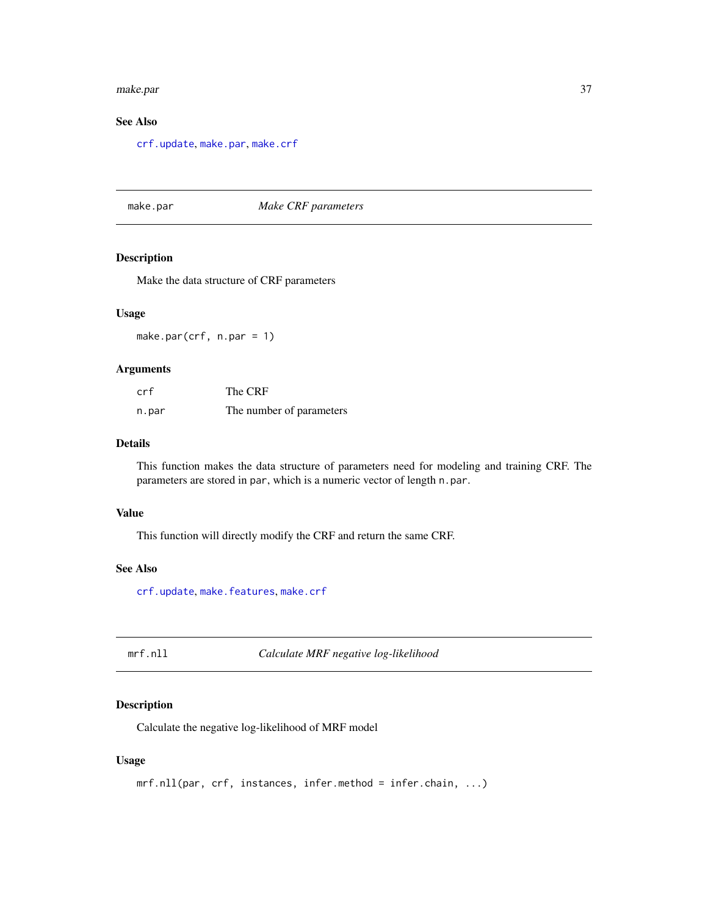#### <span id="page-36-0"></span>make.par 37

### See Also

[crf.update](#page-8-1), [make.par](#page-36-1), [make.crf](#page-33-1)

### <span id="page-36-1"></span>make.par *Make CRF parameters*

#### Description

Make the data structure of CRF parameters

#### Usage

make.par(crf, n.par = 1)

### Arguments

| crf   | The CRF                  |
|-------|--------------------------|
| n.par | The number of parameters |

### Details

This function makes the data structure of parameters need for modeling and training CRF. The parameters are stored in par, which is a numeric vector of length n.par.

#### Value

This function will directly modify the CRF and return the same CRF.

#### See Also

[crf.update](#page-8-1), [make.features](#page-35-1), [make.crf](#page-33-1)

<span id="page-36-2"></span>mrf.nll *Calculate MRF negative log-likelihood*

### Description

Calculate the negative log-likelihood of MRF model

#### Usage

```
mrf.nll(par, crf, instances, infer.method = infer.chain, ...)
```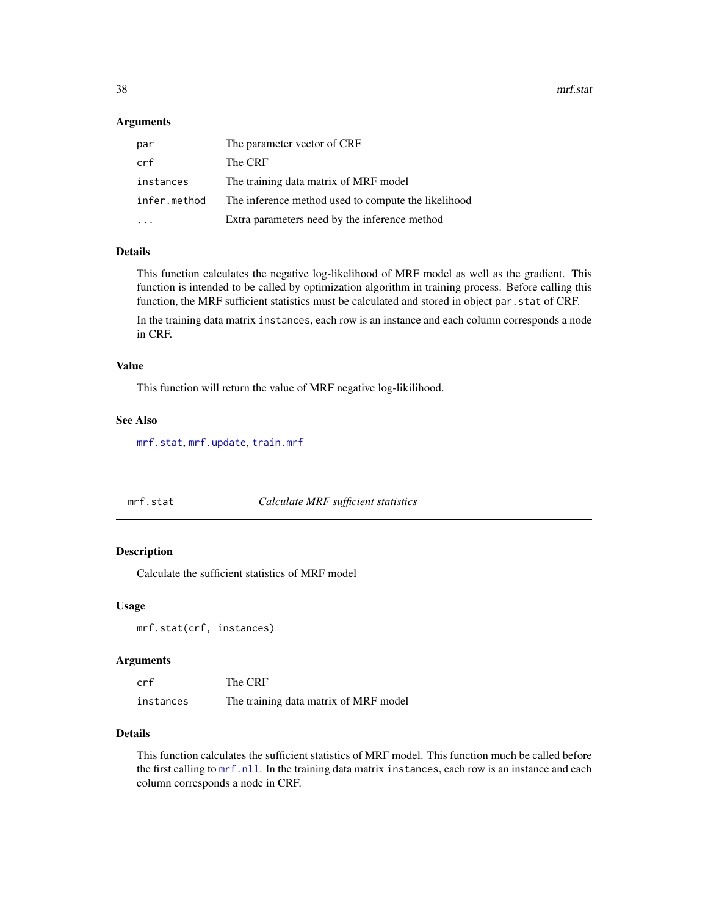<span id="page-37-0"></span>38 mrf.stat

#### Arguments

| par          | The parameter vector of CRF                         |
|--------------|-----------------------------------------------------|
| crf          | The CRF                                             |
| instances    | The training data matrix of MRF model               |
| infer.method | The inference method used to compute the likelihood |
|              | Extra parameters need by the inference method       |

### **Details**

This function calculates the negative log-likelihood of MRF model as well as the gradient. This function is intended to be called by optimization algorithm in training process. Before calling this function, the MRF sufficient statistics must be calculated and stored in object par.stat of CRF.

In the training data matrix instances, each row is an instance and each column corresponds a node in CRF.

#### Value

This function will return the value of MRF negative log-likilihood.

#### See Also

[mrf.stat](#page-37-1), [mrf.update](#page-38-1), [train.mrf](#page-47-1)

<span id="page-37-1"></span>

| mrf.stat | Calculate MRF sufficient statistics |
|----------|-------------------------------------|
|----------|-------------------------------------|

#### Description

Calculate the sufficient statistics of MRF model

#### Usage

```
mrf.stat(crf, instances)
```
#### Arguments

| crf       | The CRF                               |
|-----------|---------------------------------------|
| instances | The training data matrix of MRF model |

#### Details

This function calculates the sufficient statistics of MRF model. This function much be called before the first calling to [mrf.nll](#page-36-2). In the training data matrix instances, each row is an instance and each column corresponds a node in CRF.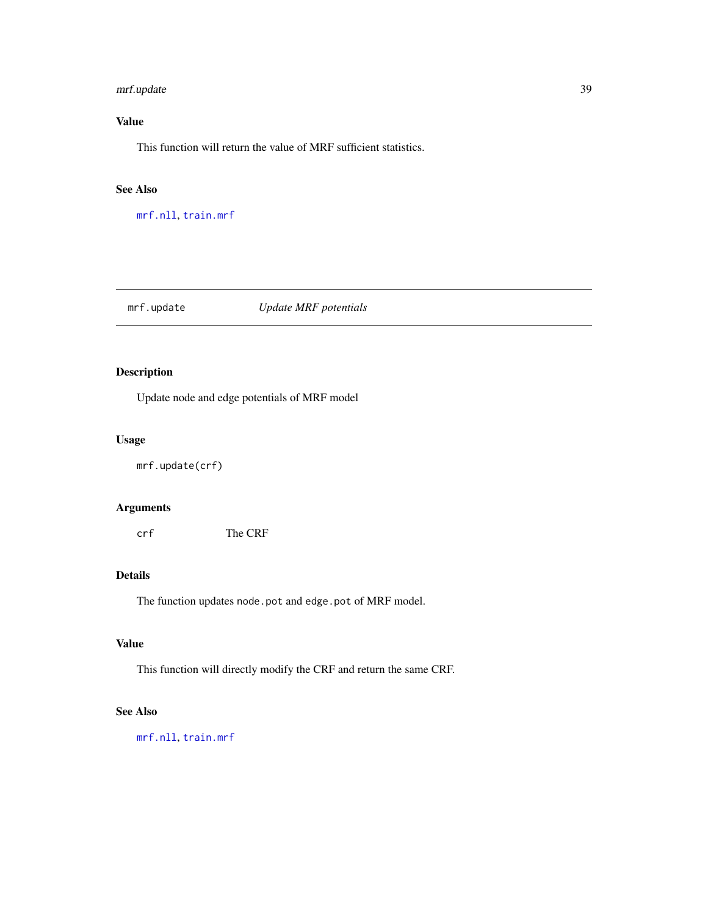### <span id="page-38-0"></span>mrf.update 39

### Value

This function will return the value of MRF sufficient statistics.

#### See Also

[mrf.nll](#page-36-2), [train.mrf](#page-47-1)

### <span id="page-38-1"></span>mrf.update *Update MRF potentials*

### Description

Update node and edge potentials of MRF model

#### Usage

mrf.update(crf)

### Arguments

crf The CRF

### Details

The function updates node.pot and edge.pot of MRF model.

## Value

This function will directly modify the CRF and return the same CRF.

### See Also

[mrf.nll](#page-36-2), [train.mrf](#page-47-1)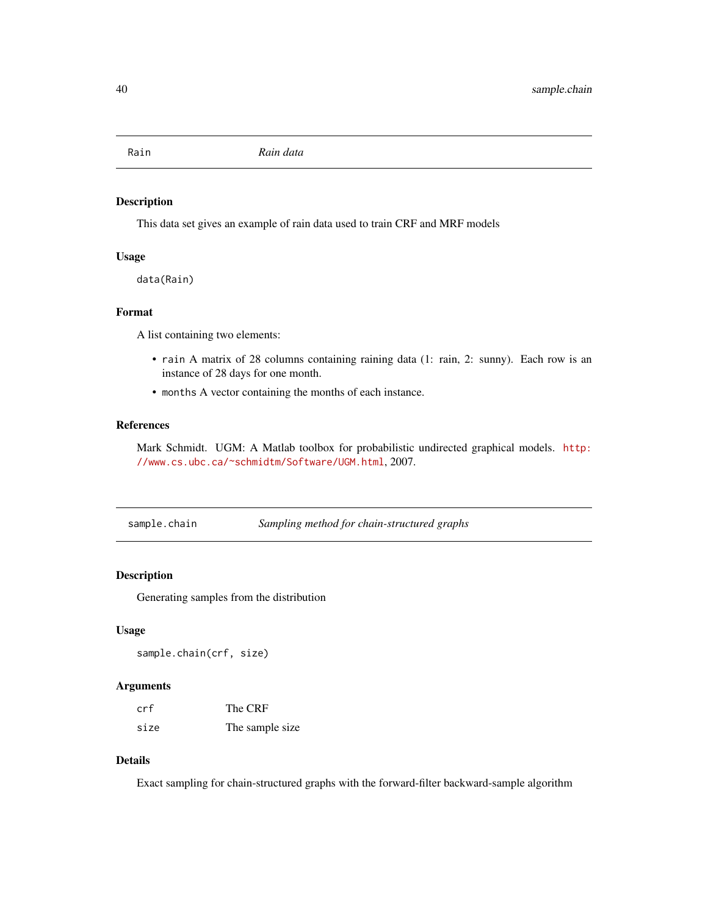<span id="page-39-0"></span>

This data set gives an example of rain data used to train CRF and MRF models

#### Usage

data(Rain)

### Format

A list containing two elements:

- rain A matrix of 28 columns containing raining data (1: rain, 2: sunny). Each row is an instance of 28 days for one month.
- months A vector containing the months of each instance.

#### References

Mark Schmidt. UGM: A Matlab toolbox for probabilistic undirected graphical models. [http:](http://www.cs.ubc.ca/~schmidtm/Software/UGM.html) [//www.cs.ubc.ca/~schmidtm/Software/UGM.html](http://www.cs.ubc.ca/~schmidtm/Software/UGM.html), 2007.

<span id="page-39-1"></span>

| sample.chain | Sampling method for chain-structured graphs |
|--------------|---------------------------------------------|
|              |                                             |

#### Description

Generating samples from the distribution

#### Usage

```
sample.chain(crf, size)
```
### Arguments

| crf  | The CRF         |
|------|-----------------|
| size | The sample size |

#### Details

Exact sampling for chain-structured graphs with the forward-filter backward-sample algorithm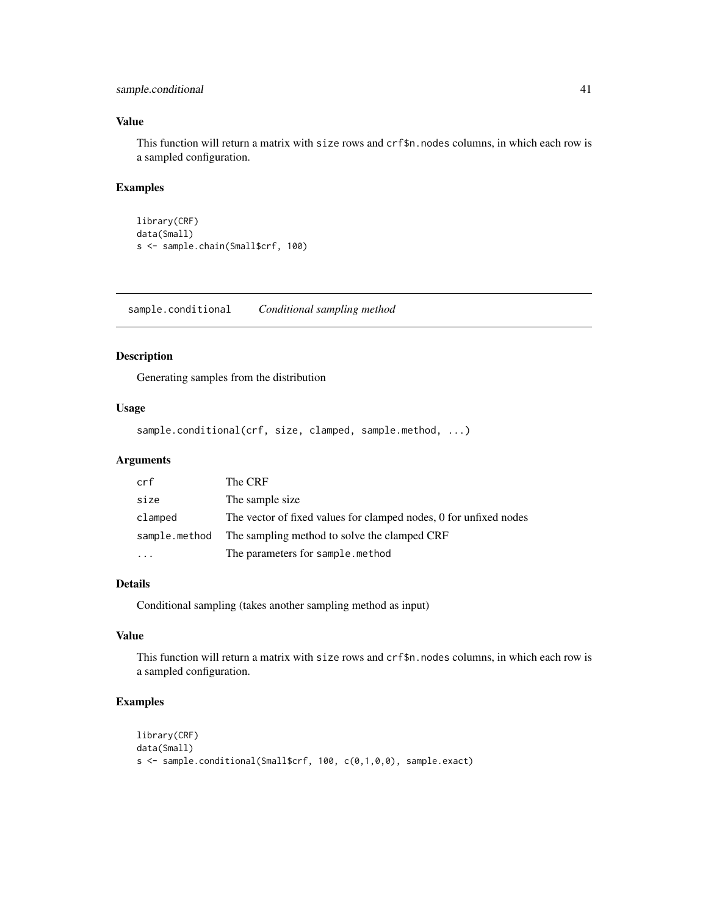### <span id="page-40-0"></span>sample.conditional 41

### Value

This function will return a matrix with size rows and crf\$n.nodes columns, in which each row is a sampled configuration.

### Examples

```
library(CRF)
data(Small)
s <- sample.chain(Small$crf, 100)
```
<span id="page-40-1"></span>sample.conditional *Conditional sampling method*

### Description

Generating samples from the distribution

#### Usage

sample.conditional(crf, size, clamped, sample.method, ...)

#### Arguments

| crf           | The CRF                                                           |
|---------------|-------------------------------------------------------------------|
| size          | The sample size.                                                  |
| clamped       | The vector of fixed values for clamped nodes, 0 for unfixed nodes |
| sample.method | The sampling method to solve the clamped CRF                      |
| .             | The parameters for sample.method                                  |

#### Details

Conditional sampling (takes another sampling method as input)

#### Value

This function will return a matrix with size rows and crf\$n.nodes columns, in which each row is a sampled configuration.

```
library(CRF)
data(Small)
s <- sample.conditional(Small$crf, 100, c(0,1,0,0), sample.exact)
```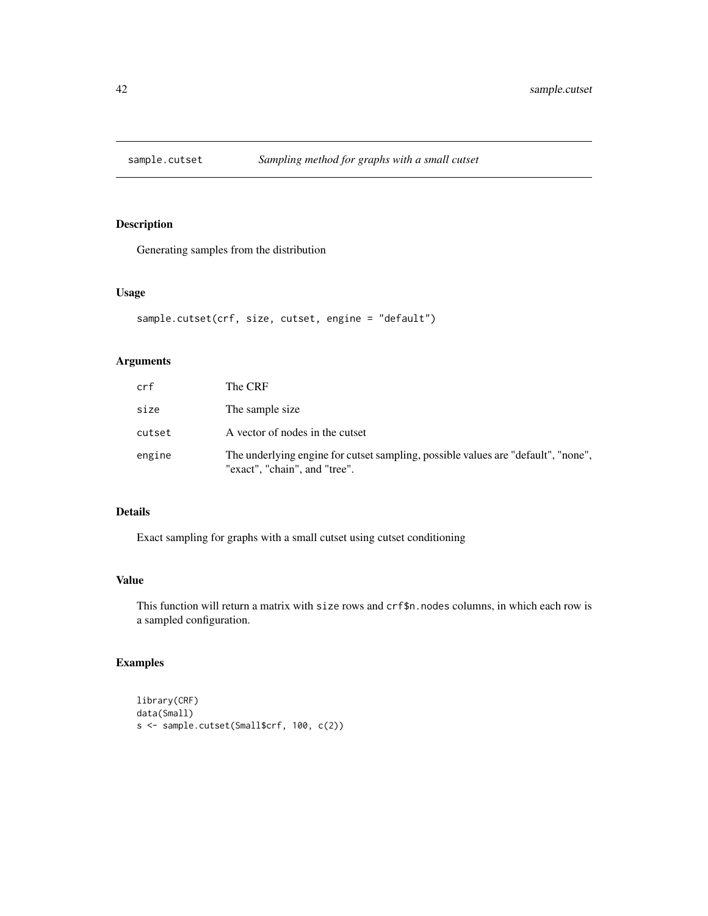<span id="page-41-1"></span><span id="page-41-0"></span>

Generating samples from the distribution

#### Usage

```
sample.cutset(crf, size, cutset, engine = "default")
```
### Arguments

| crf    | The CRF                                                                                                            |
|--------|--------------------------------------------------------------------------------------------------------------------|
| size   | The sample size.                                                                                                   |
| cutset | A vector of nodes in the cutset                                                                                    |
| engine | The underlying engine for cutset sampling, possible values are "default", "none",<br>"exact", "chain", and "tree". |

### Details

Exact sampling for graphs with a small cutset using cutset conditioning

#### Value

This function will return a matrix with size rows and crf\$n.nodes columns, in which each row is a sampled configuration.

```
library(CRF)
data(Small)
s <- sample.cutset(Small$crf, 100, c(2))
```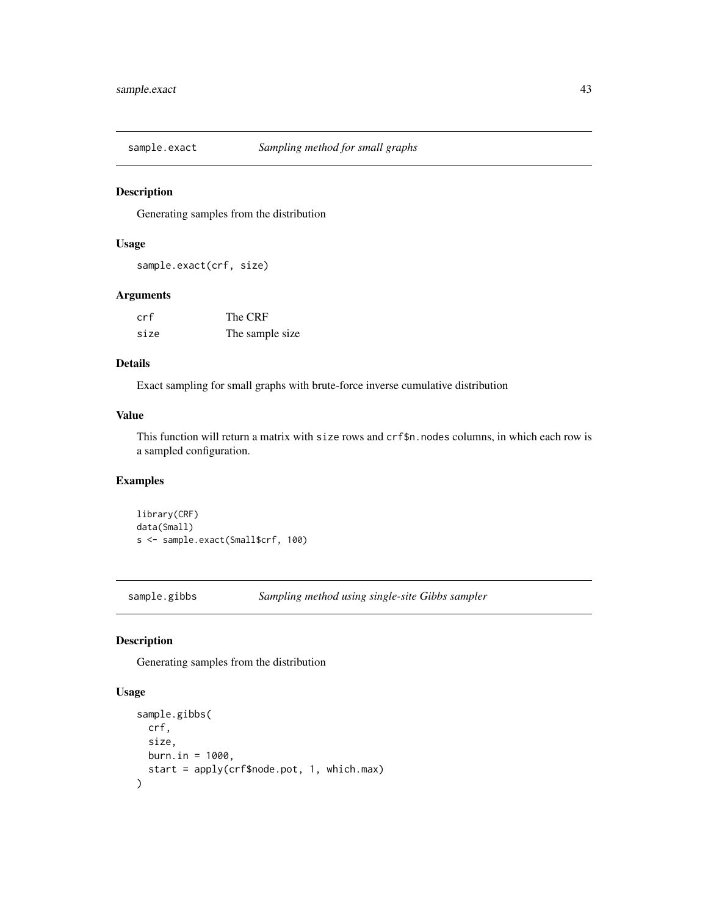<span id="page-42-1"></span><span id="page-42-0"></span>

Generating samples from the distribution

#### Usage

sample.exact(crf, size)

#### Arguments

| crf  | The CRF         |
|------|-----------------|
| size | The sample size |

#### Details

Exact sampling for small graphs with brute-force inverse cumulative distribution

#### Value

This function will return a matrix with size rows and crf\$n.nodes columns, in which each row is a sampled configuration.

### Examples

```
library(CRF)
data(Small)
s <- sample.exact(Small$crf, 100)
```
<span id="page-42-2"></span>sample.gibbs *Sampling method using single-site Gibbs sampler*

### Description

Generating samples from the distribution

### Usage

```
sample.gibbs(
 crf,
  size,
 burn.in = 1000,start = apply(crf$node.pot, 1, which.max)
\mathcal{E}
```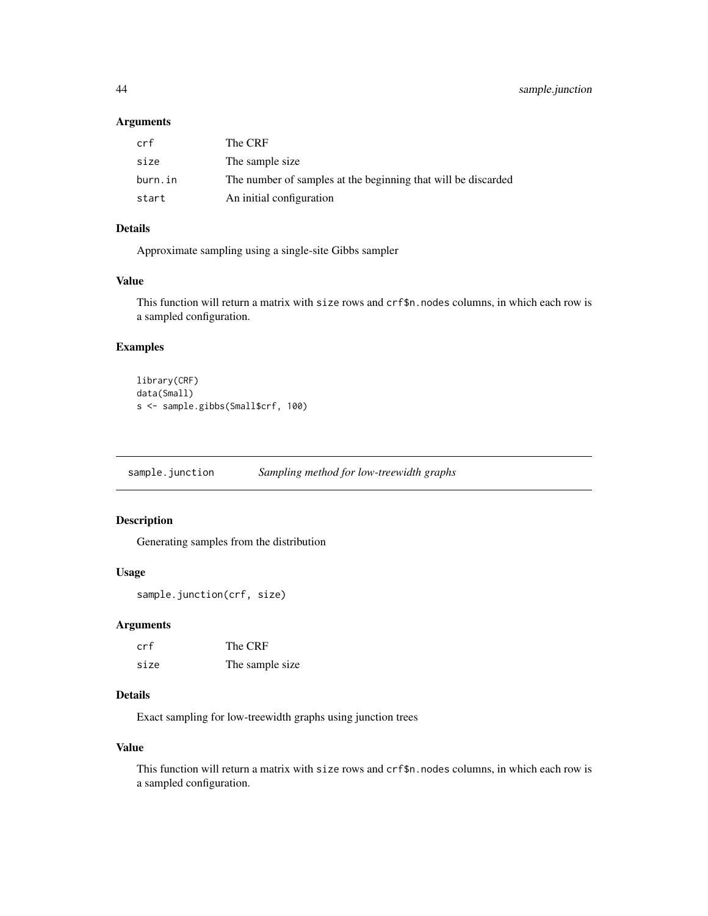#### <span id="page-43-0"></span>Arguments

| crf     | The CRF                                                       |
|---------|---------------------------------------------------------------|
| size    | The sample size                                               |
| burn.in | The number of samples at the beginning that will be discarded |
| start   | An initial configuration                                      |

### Details

Approximate sampling using a single-site Gibbs sampler

#### Value

This function will return a matrix with size rows and crf\$n.nodes columns, in which each row is a sampled configuration.

#### Examples

```
library(CRF)
data(Small)
s <- sample.gibbs(Small$crf, 100)
```
<span id="page-43-1"></span>sample.junction *Sampling method for low-treewidth graphs*

### Description

Generating samples from the distribution

### Usage

```
sample.junction(crf, size)
```
#### Arguments

| crf  | The CRF         |
|------|-----------------|
| size | The sample size |

### Details

Exact sampling for low-treewidth graphs using junction trees

#### Value

This function will return a matrix with size rows and crf\$n.nodes columns, in which each row is a sampled configuration.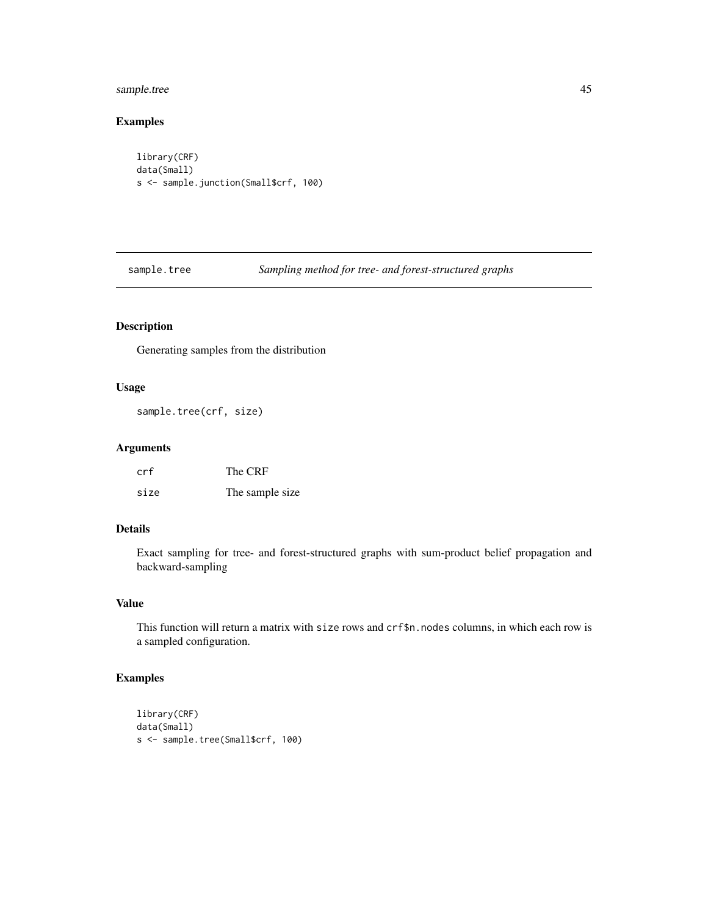### <span id="page-44-0"></span>sample.tree 45

### Examples

```
library(CRF)
data(Small)
s <- sample.junction(Small$crf, 100)
```
<span id="page-44-1"></span>sample.tree *Sampling method for tree- and forest-structured graphs*

### Description

Generating samples from the distribution

### Usage

sample.tree(crf, size)

### Arguments

| crf  | The CRF         |
|------|-----------------|
| size | The sample size |

### Details

Exact sampling for tree- and forest-structured graphs with sum-product belief propagation and backward-sampling

#### Value

This function will return a matrix with size rows and crf\$n.nodes columns, in which each row is a sampled configuration.

```
library(CRF)
data(Small)
s <- sample.tree(Small$crf, 100)
```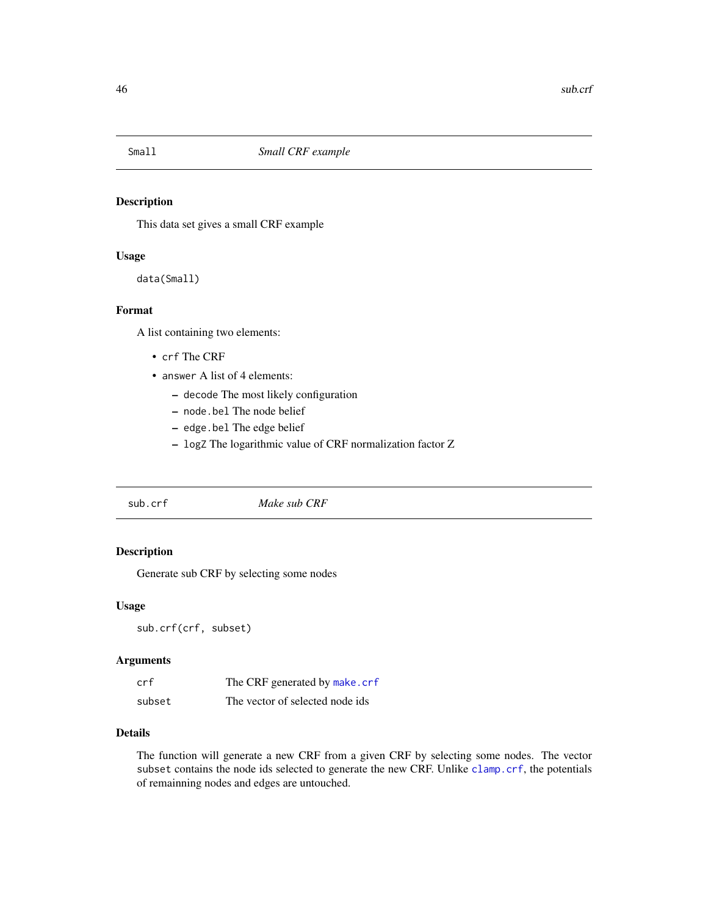<span id="page-45-0"></span>

This data set gives a small CRF example

#### Usage

data(Small)

#### Format

A list containing two elements:

- crf The CRF
- answer A list of 4 elements:
	- decode The most likely configuration
	- node.bel The node belief
	- edge.bel The edge belief
	- logZ The logarithmic value of CRF normalization factor Z

<span id="page-45-1"></span>

| sub.crf | Make sub CRF |  |
|---------|--------------|--|
|---------|--------------|--|

### Description

Generate sub CRF by selecting some nodes

#### Usage

sub.crf(crf, subset)

#### Arguments

| crf    | The CRF generated by make.crf   |
|--------|---------------------------------|
| subset | The vector of selected node ids |

#### Details

The function will generate a new CRF from a given CRF by selecting some nodes. The vector subset contains the node ids selected to generate the new CRF. Unlike [clamp.crf](#page-5-1), the potentials of remainning nodes and edges are untouched.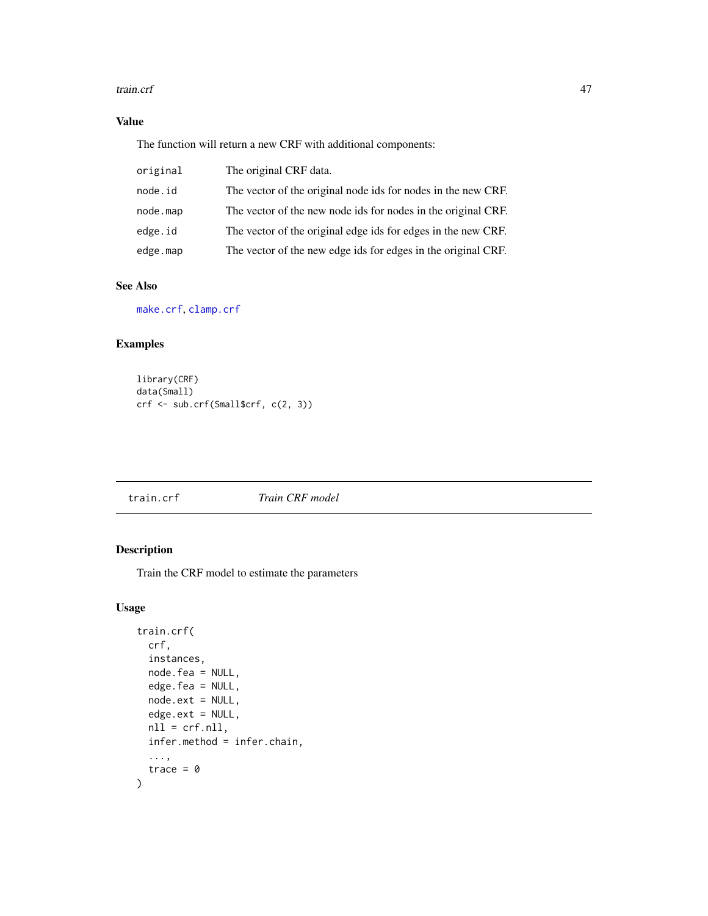#### <span id="page-46-0"></span>train.crf 47

### Value

The function will return a new CRF with additional components:

| original | The original CRF data.                                        |
|----------|---------------------------------------------------------------|
| node.id  | The vector of the original node ids for nodes in the new CRF. |
| node.map | The vector of the new node ids for nodes in the original CRF. |
| edge.id  | The vector of the original edge ids for edges in the new CRF. |
| edge.map | The vector of the new edge ids for edges in the original CRF. |

### See Also

[make.crf](#page-33-1), [clamp.crf](#page-5-1)

### Examples

```
library(CRF)
data(Small)
crf <- sub.crf(Small$crf, c(2, 3))
```
<span id="page-46-1"></span>train.crf *Train CRF model*

### Description

Train the CRF model to estimate the parameters

### Usage

```
train.crf(
  crf,
  instances,
  node.fea = NULL,
  edge.fea = NULL,
  node.ext = NULL,
  edge.ext = NULL,
  nll = crf.nll,
  infer.method = infer.chain,
  ...,
  trace = \theta\mathcal{L}
```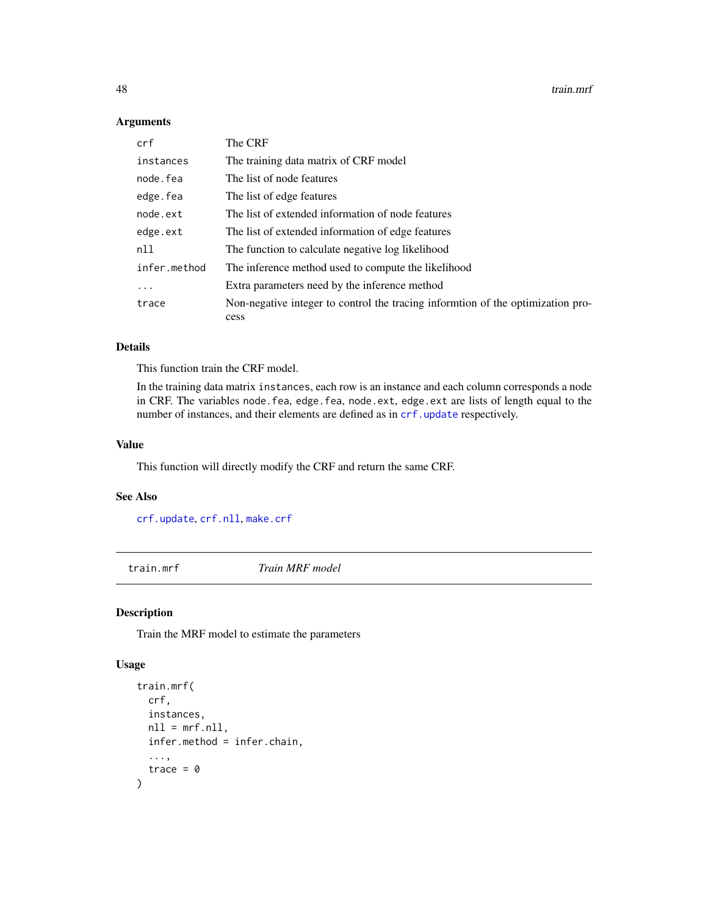#### Arguments

| crf          | The CRF                                                                                 |
|--------------|-----------------------------------------------------------------------------------------|
| instances    | The training data matrix of CRF model                                                   |
| node.fea     | The list of node features                                                               |
| edge.fea     | The list of edge features                                                               |
| node.ext     | The list of extended information of node features                                       |
| edge.ext     | The list of extended information of edge features                                       |
| nll          | The function to calculate negative log likelihood                                       |
| infer.method | The inference method used to compute the likelihood                                     |
| $\ddots$     | Extra parameters need by the inference method                                           |
| trace        | Non-negative integer to control the tracing informtion of the optimization pro-<br>cess |

#### Details

This function train the CRF model.

In the training data matrix instances, each row is an instance and each column corresponds a node in CRF. The variables node.fea, edge.fea, node.ext, edge.ext are lists of length equal to the number of instances, and their elements are defined as in [crf.update](#page-8-1) respectively.

#### Value

This function will directly modify the CRF and return the same CRF.

### See Also

[crf.update](#page-8-1), [crf.nll](#page-7-1), [make.crf](#page-33-1)

<span id="page-47-1"></span>train.mrf *Train MRF model*

#### Description

Train the MRF model to estimate the parameters

### Usage

```
train.mrf(
 crf,
  instances,
 nll = mrf.nll,infer.method = infer.chain,
  ...,
  trace = \theta\mathcal{L}
```
<span id="page-47-0"></span>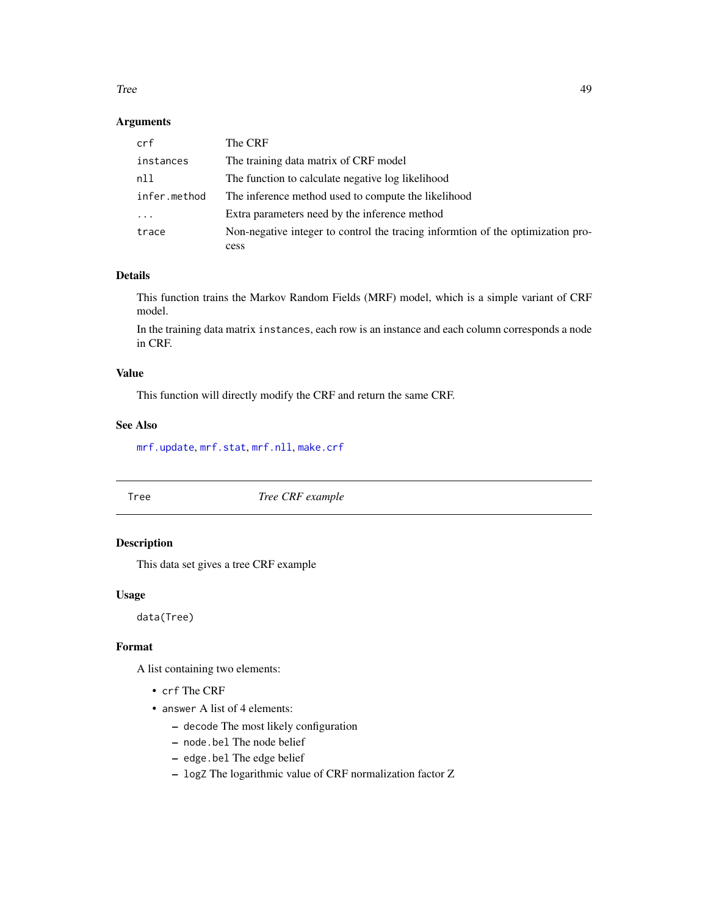#### <span id="page-48-0"></span>Tree and the state of the state of the state of the state of the state of the state of the state of the state of the state of the state of the state of the state of the state of the state of the state of the state of the s

#### Arguments

| crf          | The CRF                                                                         |
|--------------|---------------------------------------------------------------------------------|
| instances    | The training data matrix of CRF model                                           |
| nll          | The function to calculate negative log likelihood                               |
| infer.method | The inference method used to compute the likelihood                             |
| $\cdots$     | Extra parameters need by the inference method                                   |
| trace        | Non-negative integer to control the tracing informtion of the optimization pro- |
|              | cess                                                                            |

#### Details

This function trains the Markov Random Fields (MRF) model, which is a simple variant of CRF model.

In the training data matrix instances, each row is an instance and each column corresponds a node in CRF.

#### Value

This function will directly modify the CRF and return the same CRF.

#### See Also

[mrf.update](#page-38-1), [mrf.stat](#page-37-1), [mrf.nll](#page-36-2), [make.crf](#page-33-1)

Tree *Tree CRF example*

### Description

This data set gives a tree CRF example

#### Usage

data(Tree)

#### Format

A list containing two elements:

- crf The CRF
- answer A list of 4 elements:
	- decode The most likely configuration
	- node.bel The node belief
	- edge.bel The edge belief
	- logZ The logarithmic value of CRF normalization factor Z